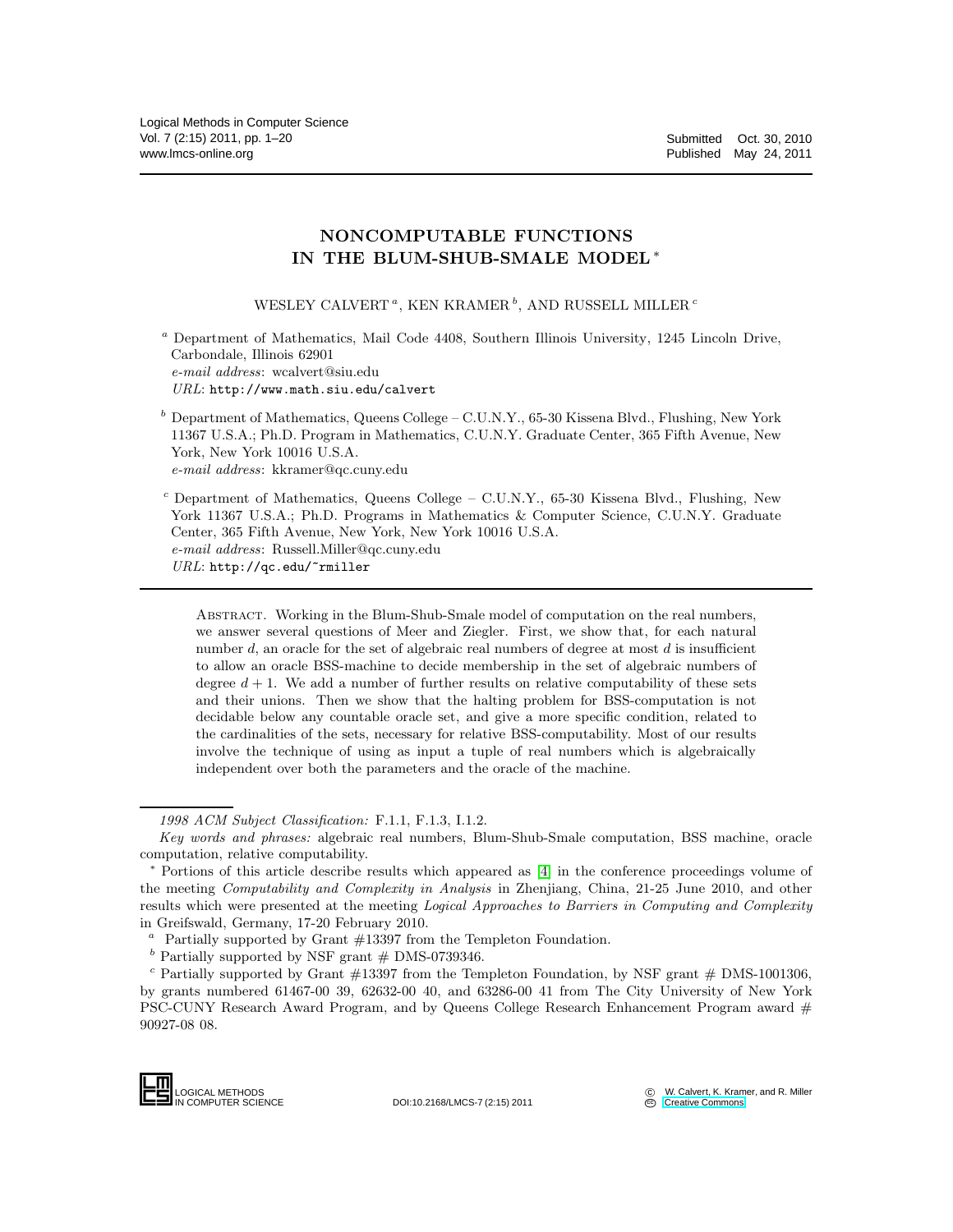# NONCOMPUTABLE FUNCTIONS IN THE BLUM-SHUB-SMALE MODEL∗

WESLEY CALVERT  $^a,$  KEN KRAMER  $^b,$  AND RUSSELL MILLER  $^c$ 

<sup>a</sup> Department of Mathematics, Mail Code 4408, Southern Illinois University, 1245 Lincoln Drive, Carbondale, Illinois 62901 *e-mail address*: wcalvert@siu.edu *URL*: http://www.math.siu.edu/calvert

 $b$  Department of Mathematics, Queens College – C.U.N.Y., 65-30 Kissena Blvd., Flushing, New York 11367 U.S.A.; Ph.D. Program in Mathematics, C.U.N.Y. Graduate Center, 365 Fifth Avenue, New York, New York 10016 U.S.A. *e-mail address*: kkramer@qc.cuny.edu

 $c$  Department of Mathematics, Queens College – C.U.N.Y., 65-30 Kissena Blvd., Flushing, New York 11367 U.S.A.; Ph.D. Programs in Mathematics & Computer Science, C.U.N.Y. Graduate Center, 365 Fifth Avenue, New York, New York 10016 U.S.A. *e-mail address*: Russell.Miller@qc.cuny.edu *URL*: http://qc.edu/~rmiller

Abstract. Working in the Blum-Shub-Smale model of computation on the real numbers, we answer several questions of Meer and Ziegler. First, we show that, for each natural number d, an oracle for the set of algebraic real numbers of degree at most  $d$  is insufficient to allow an oracle BSS-machine to decide membership in the set of algebraic numbers of degree  $d + 1$ . We add a number of further results on relative computability of these sets and their unions. Then we show that the halting problem for BSS-computation is not decidable below any countable oracle set, and give a more specific condition, related to the cardinalities of the sets, necessary for relative BSS-computability. Most of our results involve the technique of using as input a tuple of real numbers which is algebraically independent over both the parameters and the oracle of the machine.

LOGICAL METHODS<br>N COMPUTER SCIENCE

*<sup>1998</sup> ACM Subject Classification:* F.1.1, F.1.3, I.1.2.

*Key words and phrases:* algebraic real numbers, Blum-Shub-Smale computation, BSS machine, oracle computation, relative computability.

<sup>∗</sup> Portions of this article describe results which appeared as [\[4\]](#page-19-0) in the conference proceedings volume of the meeting *Computability and Complexity in Analysis* in Zhenjiang, China, 21-25 June 2010, and other results which were presented at the meeting *Logical Approaches to Barriers in Computing and Complexity* in Greifswald, Germany, 17-20 February 2010.

 $a$  Partially supported by Grant  $\#13397$  from the Templeton Foundation.

 $^b$  Partially supported by NSF grant  $\#$  DMS-0739346.

 $c$  Partially supported by Grant  $\#13397$  from the Templeton Foundation, by NSF grant  $\#$  DMS-1001306, by grants numbered 61467-00 39, 62632-00 40, and 63286-00 41 from The City University of New York PSC-CUNY Research Award Program, and by Queens College Research Enhancement Program award # 90927-08 08.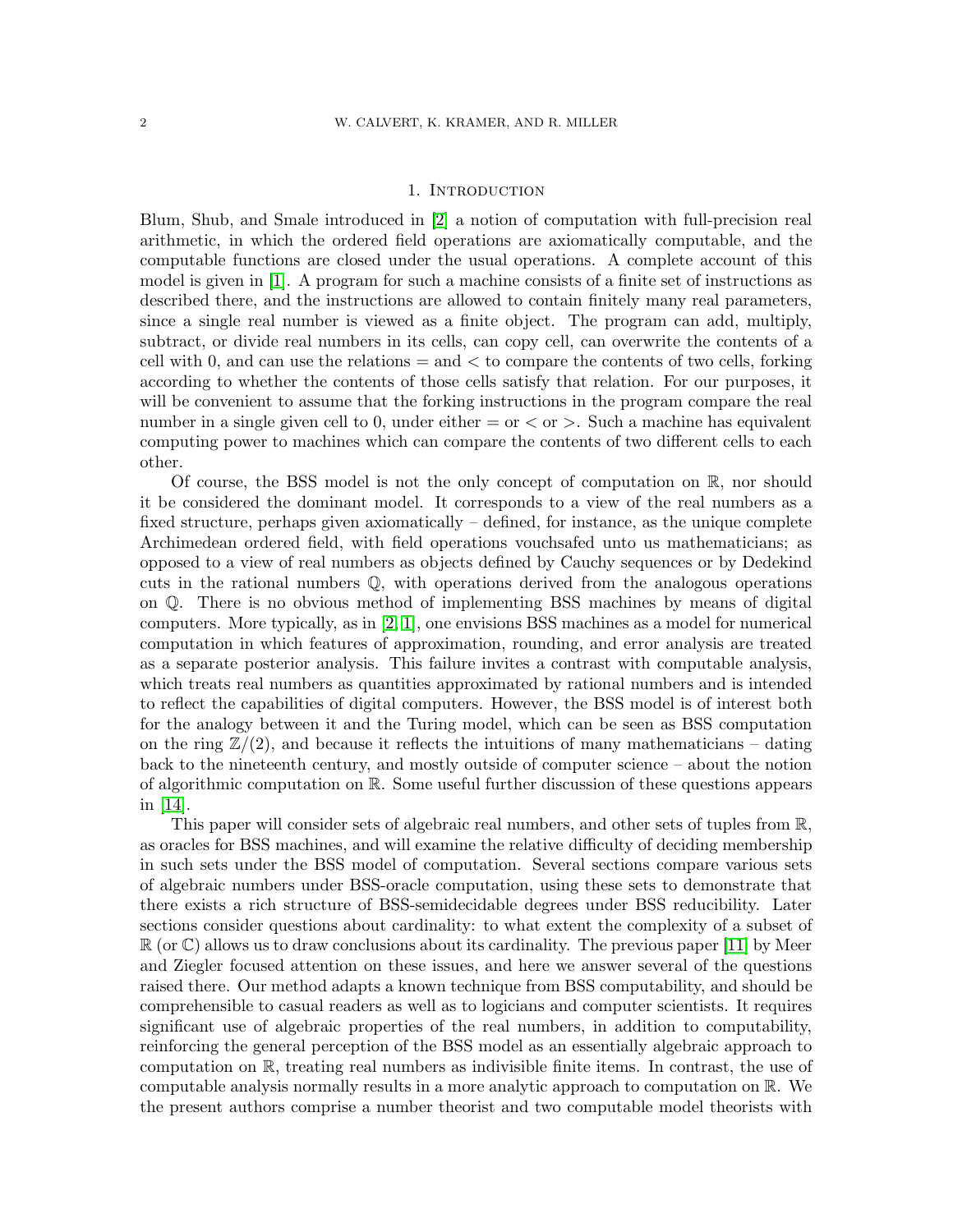### 1. INTRODUCTION

Blum, Shub, and Smale introduced in [\[2\]](#page-18-0) a notion of computation with full-precision real arithmetic, in which the ordered field operations are axiomatically computable, and the computable functions are closed under the usual operations. A complete account of this model is given in [\[1\]](#page-18-1). A program for such a machine consists of a finite set of instructions as described there, and the instructions are allowed to contain finitely many real parameters, since a single real number is viewed as a finite object. The program can add, multiply, subtract, or divide real numbers in its cells, can copy cell, can overwrite the contents of a cell with 0, and can use the relations  $=$  and  $<$  to compare the contents of two cells, forking according to whether the contents of those cells satisfy that relation. For our purposes, it will be convenient to assume that the forking instructions in the program compare the real number in a single given cell to 0, under either  $=$  or  $\geq$  or  $\geq$ . Such a machine has equivalent computing power to machines which can compare the contents of two different cells to each other.

Of course, the BSS model is not the only concept of computation on  $\mathbb{R}$ , nor should it be considered the dominant model. It corresponds to a view of the real numbers as a fixed structure, perhaps given axiomatically – defined, for instance, as the unique complete Archimedean ordered field, with field operations vouchsafed unto us mathematicians; as opposed to a view of real numbers as objects defined by Cauchy sequences or by Dedekind cuts in the rational numbers Q, with operations derived from the analogous operations on Q. There is no obvious method of implementing BSS machines by means of digital computers. More typically, as in [\[2,](#page-18-0) [1\]](#page-18-1), one envisions BSS machines as a model for numerical computation in which features of approximation, rounding, and error analysis are treated as a separate posterior analysis. This failure invites a contrast with computable analysis, which treats real numbers as quantities approximated by rational numbers and is intended to reflect the capabilities of digital computers. However, the BSS model is of interest both for the analogy between it and the Turing model, which can be seen as BSS computation on the ring  $\mathbb{Z}/(2)$ , and because it reflects the intuitions of many mathematicians – dating back to the nineteenth century, and mostly outside of computer science – about the notion of algorithmic computation on R. Some useful further discussion of these questions appears in [\[14\]](#page-19-1).

This paper will consider sets of algebraic real numbers, and other sets of tuples from R, as oracles for BSS machines, and will examine the relative difficulty of deciding membership in such sets under the BSS model of computation. Several sections compare various sets of algebraic numbers under BSS-oracle computation, using these sets to demonstrate that there exists a rich structure of BSS-semidecidable degrees under BSS reducibility. Later sections consider questions about cardinality: to what extent the complexity of a subset of  $\mathbb{R}$  (or  $\mathbb{C}$ ) allows us to draw conclusions about its cardinality. The previous paper [\[11\]](#page-19-2) by Meer and Ziegler focused attention on these issues, and here we answer several of the questions raised there. Our method adapts a known technique from BSS computability, and should be comprehensible to casual readers as well as to logicians and computer scientists. It requires significant use of algebraic properties of the real numbers, in addition to computability, reinforcing the general perception of the BSS model as an essentially algebraic approach to computation on R, treating real numbers as indivisible finite items. In contrast, the use of computable analysis normally results in a more analytic approach to computation on R. We the present authors comprise a number theorist and two computable model theorists with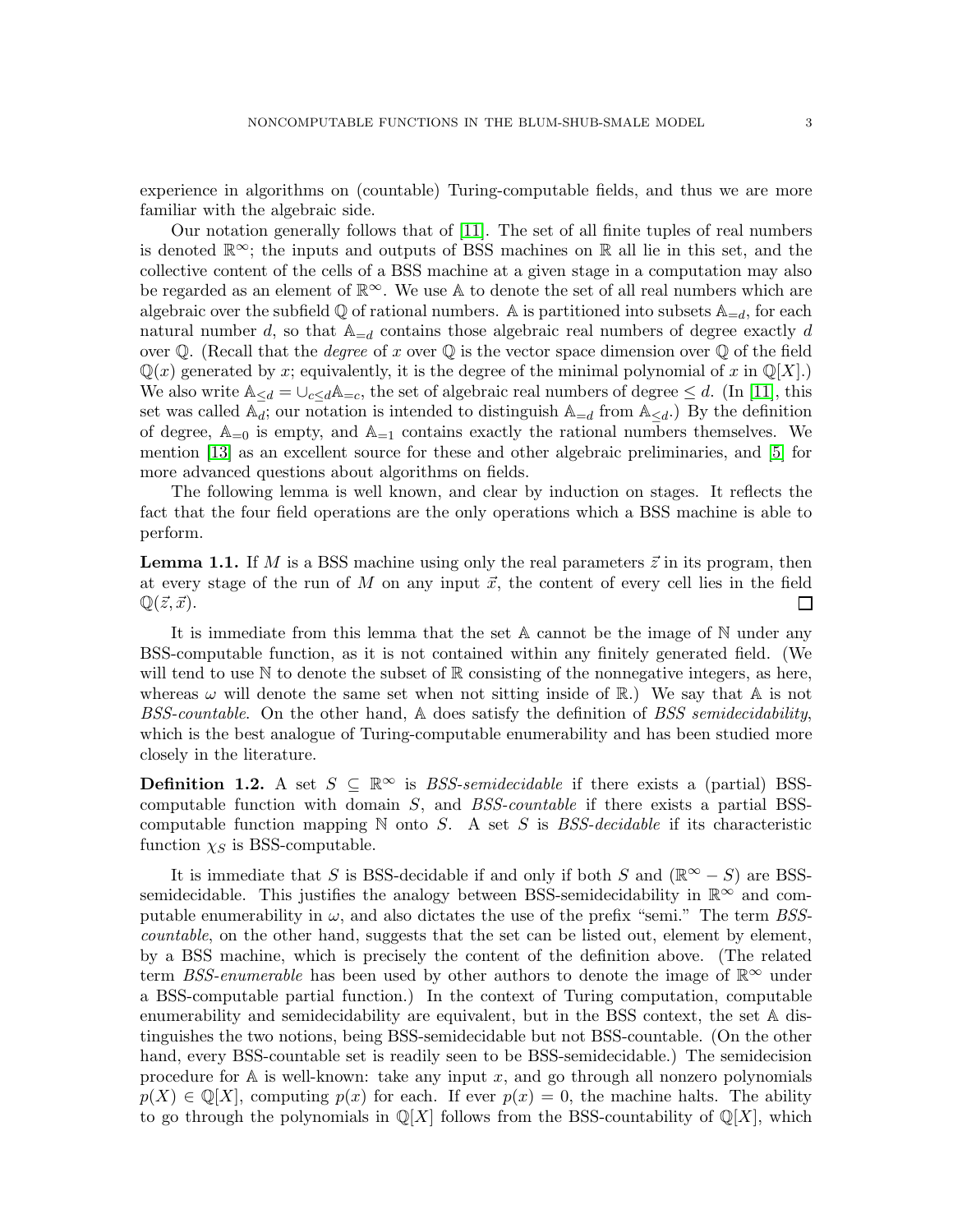experience in algorithms on (countable) Turing-computable fields, and thus we are more familiar with the algebraic side.

Our notation generally follows that of [\[11\]](#page-19-2). The set of all finite tuples of real numbers is denoted  $\mathbb{R}^{\infty}$ ; the inputs and outputs of BSS machines on R all lie in this set, and the collective content of the cells of a BSS machine at a given stage in a computation may also be regarded as an element of  $\mathbb{R}^{\infty}$ . We use A to denote the set of all real numbers which are algebraic over the subfield  $\mathbb Q$  of rational numbers. A is partitioned into subsets  $\mathbb A_{=d}$ , for each natural number d, so that  $\mathbb{A}_{=d}$  contains those algebraic real numbers of degree exactly d over Q. (Recall that the *degree* of x over Q is the vector space dimension over Q of the field  $\mathbb{Q}(x)$  generated by x; equivalently, it is the degree of the minimal polynomial of x in  $\mathbb{Q}[X]$ . We also write  $\mathbb{A}_{\leq d} = \bigcup_{c \leq d} \mathbb{A}_{=c}$ , the set of algebraic real numbers of degree  $\leq d$ . (In [\[11\]](#page-19-2), this set was called  $\mathbb{A}_d$ ; our notation is intended to distinguish  $\mathbb{A}_{=d}$  from  $\mathbb{A}_{\leq d}$ .) By the definition of degree,  $\mathbb{A}_{=0}$  is empty, and  $\mathbb{A}_{=1}$  contains exactly the rational numbers themselves. We mention [\[13\]](#page-19-3) as an excellent source for these and other algebraic preliminaries, and [\[5\]](#page-19-4) for more advanced questions about algorithms on fields.

The following lemma is well known, and clear by induction on stages. It reflects the fact that the four field operations are the only operations which a BSS machine is able to perform.

<span id="page-2-0"></span>**Lemma 1.1.** If M is a BSS machine using only the real parameters  $\vec{z}$  in its program, then at every stage of the run of M on any input  $\vec{x}$ , the content of every cell lies in the field  $\mathbb{Q}(\vec{z}, \vec{x})$ . ப

It is immediate from this lemma that the set A cannot be the image of N under any BSS-computable function, as it is not contained within any finitely generated field. (We will tend to use  $\mathbb N$  to denote the subset of  $\mathbb R$  consisting of the nonnegative integers, as here, whereas  $\omega$  will denote the same set when not sitting inside of  $\mathbb{R}$ .) We say that A is not BSS-countable. On the other hand, A does satisfy the definition of BSS semidecidability, which is the best analogue of Turing-computable enumerability and has been studied more closely in the literature.

**Definition 1.2.** A set  $S \subseteq \mathbb{R}^{\infty}$  is *BSS-semidecidable* if there exists a (partial) BSScomputable function with domain  $S$ , and  $BSS$ -countable if there exists a partial BSScomputable function mapping  $\mathbb N$  onto S. A set S is BSS-decidable if its characteristic function  $\chi_S$  is BSS-computable.

It is immediate that S is BSS-decidable if and only if both S and ( $\mathbb{R}^{\infty} - S$ ) are BSSsemidecidable. This justifies the analogy between BSS-semidecidability in  $\mathbb{R}^{\infty}$  and computable enumerability in  $\omega$ , and also dictates the use of the prefix "semi." The term BSScountable, on the other hand, suggests that the set can be listed out, element by element, by a BSS machine, which is precisely the content of the definition above. (The related term BSS-enumerable has been used by other authors to denote the image of  $\mathbb{R}^{\infty}$  under a BSS-computable partial function.) In the context of Turing computation, computable enumerability and semidecidability are equivalent, but in the BSS context, the set A distinguishes the two notions, being BSS-semidecidable but not BSS-countable. (On the other hand, every BSS-countable set is readily seen to be BSS-semidecidable.) The semidecision procedure for  $A$  is well-known: take any input x, and go through all nonzero polynomials  $p(X) \in \mathbb{Q}[X]$ , computing  $p(x)$  for each. If ever  $p(x) = 0$ , the machine halts. The ability to go through the polynomials in  $\mathbb{Q}[X]$  follows from the BSS-countability of  $\mathbb{Q}[X]$ , which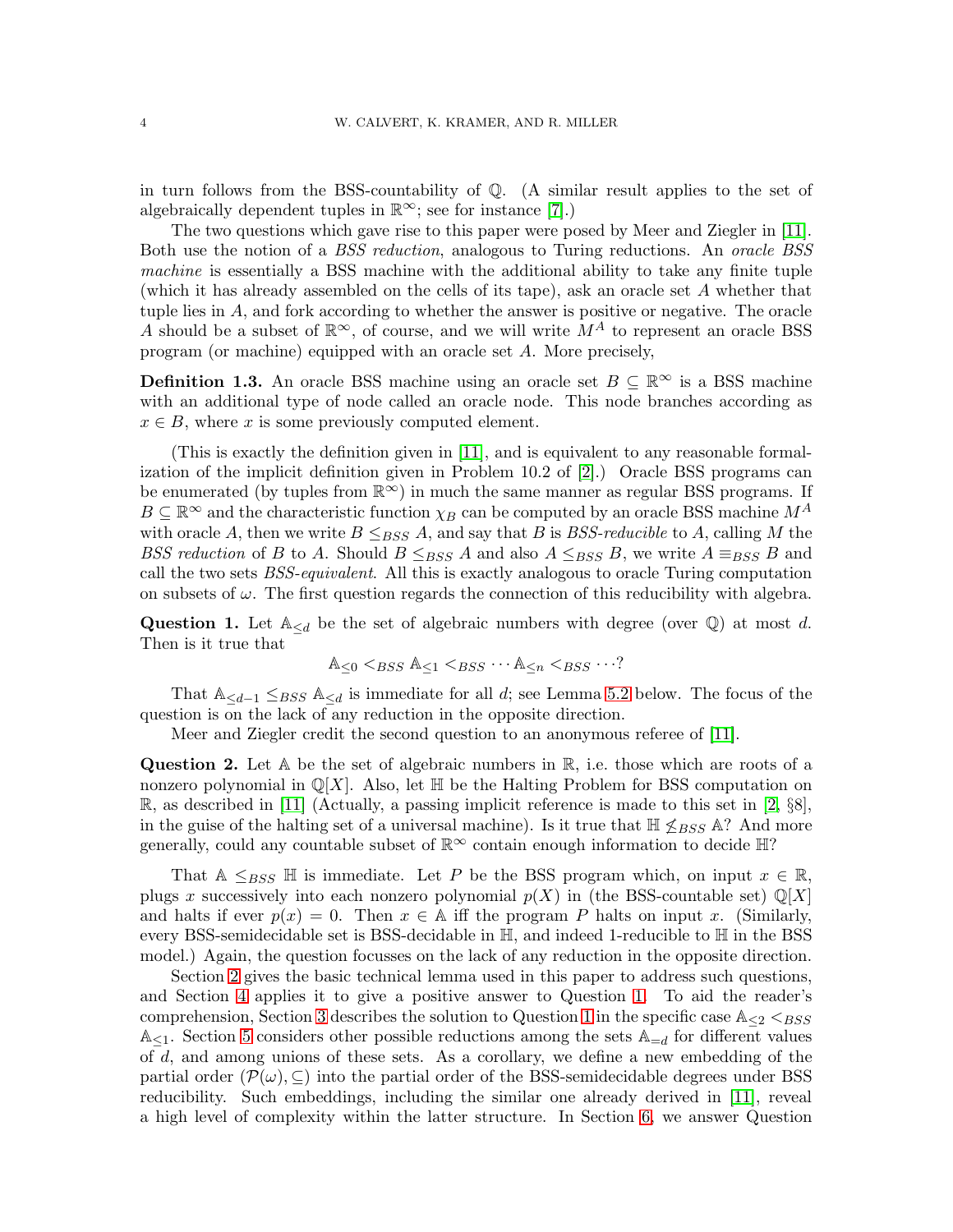in turn follows from the BSS-countability of Q. (A similar result applies to the set of algebraically dependent tuples in  $\mathbb{R}^{\infty}$ ; see for instance [\[7\]](#page-19-5).)

The two questions which gave rise to this paper were posed by Meer and Ziegler in [\[11\]](#page-19-2). Both use the notion of a *BSS reduction*, analogous to Turing reductions. An *oracle BSS* machine is essentially a BSS machine with the additional ability to take any finite tuple (which it has already assembled on the cells of its tape), ask an oracle set A whether that tuple lies in A, and fork according to whether the answer is positive or negative. The oracle A should be a subset of  $\mathbb{R}^{\infty}$ , of course, and we will write  $M^{A}$  to represent an oracle BSS program (or machine) equipped with an oracle set A. More precisely,

**Definition 1.3.** An oracle BSS machine using an oracle set  $B \subseteq \mathbb{R}^{\infty}$  is a BSS machine with an additional type of node called an oracle node. This node branches according as  $x \in B$ , where x is some previously computed element.

(This is exactly the definition given in [\[11\]](#page-19-2), and is equivalent to any reasonable formalization of the implicit definition given in Problem 10.2 of [\[2\]](#page-18-0).) Oracle BSS programs can be enumerated (by tuples from  $\mathbb{R}^{\infty}$ ) in much the same manner as regular BSS programs. If  $B \subseteq \mathbb{R}^{\infty}$  and the characteristic function  $\chi_B$  can be computed by an oracle BSS machine  $M^A$ with oracle A, then we write  $B \leq_{BSS} A$ , and say that B is BSS-reducible to A, calling M the BSS reduction of B to A. Should  $B \leq_{BSS} A$  and also  $A \leq_{BSS} B$ , we write  $A \equiv_{BSS} B$  and call the two sets BSS-equivalent. All this is exactly analogous to oracle Turing computation on subsets of  $\omega$ . The first question regards the connection of this reducibility with algebra.

<span id="page-3-0"></span>Question 1. Let  $\mathbb{A}_{\leq d}$  be the set of algebraic numbers with degree (over  $\mathbb{Q}$ ) at most d. Then is it true that

$$
\mathbb{A}_{\leq 0} <_{BSS} \mathbb{A}_{\leq 1} <_{BSS} \cdots \mathbb{A}_{\leq n} <_{BSS} \cdots?
$$

That  $\mathbb{A}_{\leq d-1}$  ≤ $_{BSS}$   $\mathbb{A}_{\leq d}$  is immediate for all d; see Lemma [5.2](#page-8-0) below. The focus of the question is on the lack of any reduction in the opposite direction.

Meer and Ziegler credit the second question to an anonymous referee of [\[11\]](#page-19-2).

<span id="page-3-1"></span>**Question 2.** Let  $A$  be the set of algebraic numbers in  $\mathbb{R}$ , i.e. those which are roots of a nonzero polynomial in  $\mathbb{Q}[X]$ . Also, let  $\mathbb{H}$  be the Halting Problem for BSS computation on  $\mathbb{R}$ , as described in [\[11\]](#page-19-2) (Actually, a passing implicit reference is made to this set in [\[2,](#page-18-0) §8], in the guise of the halting set of a universal machine). Is it true that  $\mathbb{H} \leq_{BSS} \mathbb{A}$ ? And more generally, could any countable subset of  $\mathbb{R}^{\infty}$  contain enough information to decide  $\mathbb{H}$ ?

That A  $\leq_{BSS} \mathbb{H}$  is immediate. Let P be the BSS program which, on input  $x \in \mathbb{R}$ , plugs x successively into each nonzero polynomial  $p(X)$  in (the BSS-countable set)  $\mathbb{Q}[X]$ and halts if ever  $p(x) = 0$ . Then  $x \in A$  iff the program P halts on input x. (Similarly, every BSS-semidecidable set is BSS-decidable in H, and indeed 1-reducible to H in the BSS model.) Again, the question focusses on the lack of any reduction in the opposite direction.

Section [2](#page-4-0) gives the basic technical lemma used in this paper to address such questions, and Section [4](#page-7-0) applies it to give a positive answer to Question [1.](#page-3-0) To aid the reader's comprehension, Section [3](#page-5-0) describes the solution to Question [1](#page-3-0) in the specific case  $A_{\leq 2} \leq_{BSS}$  $\mathbb{A}_{\leq 1}$ . Section [5](#page-8-1) considers other possible reductions among the sets  $\mathbb{A}_{=d}$  for different values of d, and among unions of these sets. As a corollary, we define a new embedding of the partial order  $(\mathcal{P}(\omega), \subseteq)$  into the partial order of the BSS-semidecidable degrees under BSS reducibility. Such embeddings, including the similar one already derived in [\[11\]](#page-19-2), reveal a high level of complexity within the latter structure. In Section [6,](#page-13-0) we answer Question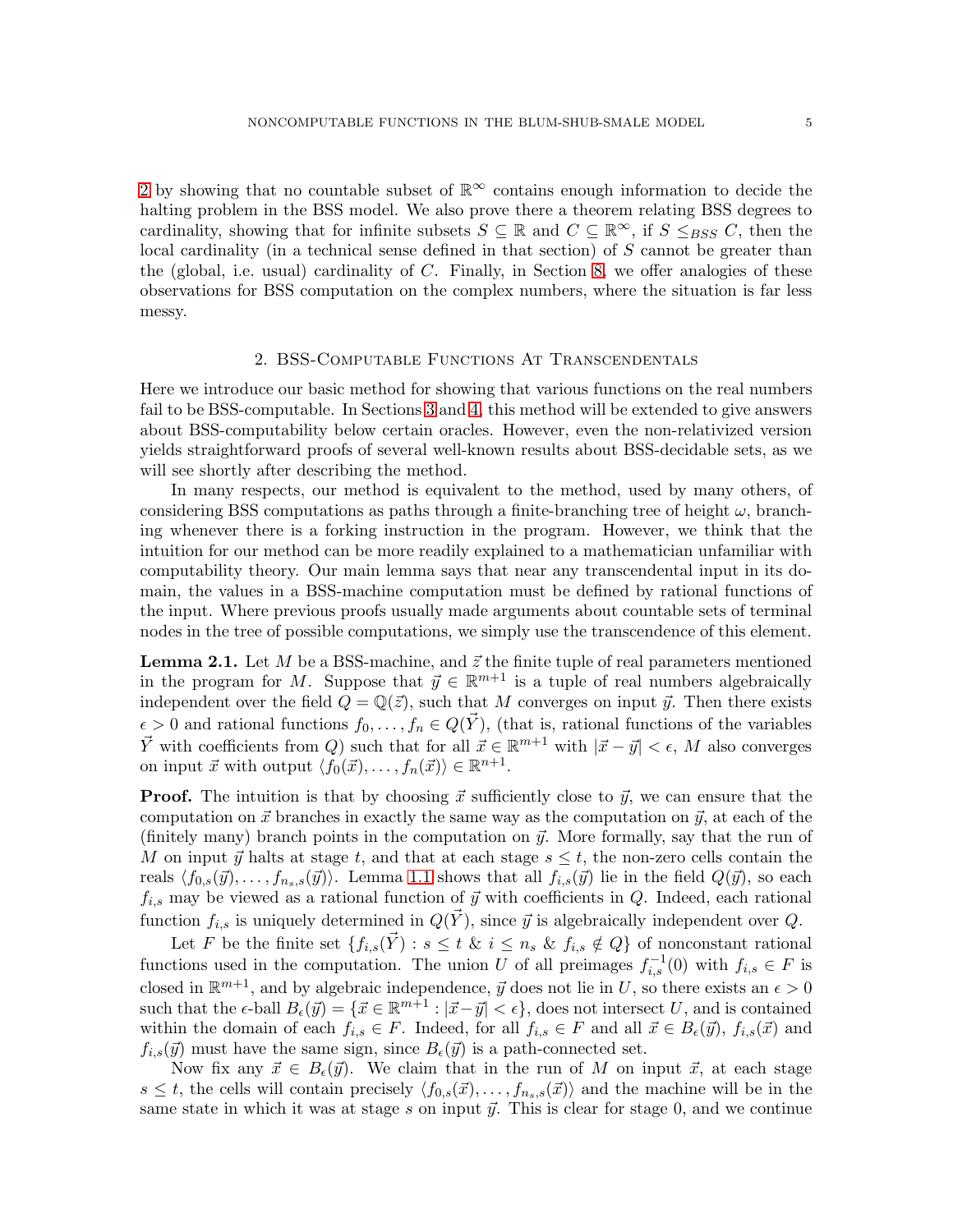[2](#page-3-1) by showing that no countable subset of  $\mathbb{R}^{\infty}$  contains enough information to decide the halting problem in the BSS model. We also prove there a theorem relating BSS degrees to cardinality, showing that for infinite subsets  $S \subseteq \mathbb{R}$  and  $C \subseteq \mathbb{R}^{\infty}$ , if  $S \leq_{BSS} C$ , then the local cardinality (in a technical sense defined in that section) of  $S$  cannot be greater than the (global, i.e. usual) cardinality of  $C$ . Finally, in Section [8,](#page-18-2) we offer analogies of these observations for BSS computation on the complex numbers, where the situation is far less messy.

#### 2. BSS-Computable Functions At Transcendentals

<span id="page-4-0"></span>Here we introduce our basic method for showing that various functions on the real numbers fail to be BSS-computable. In Sections [3](#page-5-0) and [4,](#page-7-0) this method will be extended to give answers about BSS-computability below certain oracles. However, even the non-relativized version yields straightforward proofs of several well-known results about BSS-decidable sets, as we will see shortly after describing the method.

In many respects, our method is equivalent to the method, used by many others, of considering BSS computations as paths through a finite-branching tree of height  $\omega$ , branching whenever there is a forking instruction in the program. However, we think that the intuition for our method can be more readily explained to a mathematician unfamiliar with computability theory. Our main lemma says that near any transcendental input in its domain, the values in a BSS-machine computation must be defined by rational functions of the input. Where previous proofs usually made arguments about countable sets of terminal nodes in the tree of possible computations, we simply use the transcendence of this element.

<span id="page-4-1"></span>**Lemma 2.1.** Let M be a BSS-machine, and  $\vec{z}$  the finite tuple of real parameters mentioned in the program for M. Suppose that  $\vec{y} \in \mathbb{R}^{m+1}$  is a tuple of real numbers algebraically independent over the field  $Q = \mathbb{Q}(\vec{z})$ , such that M converges on input  $\vec{y}$ . Then there exists  $\epsilon > 0$  and rational functions  $f_0, \ldots, f_n \in Q(\vec{Y})$ , (that is, rational functions of the variables  $\vec{Y}$  with coefficients from Q) such that for all  $\vec{x} \in \mathbb{R}^{m+1}$  with  $|\vec{x} - \vec{y}| < \epsilon$ , M also converges on input  $\vec{x}$  with output  $\langle f_0(\vec{x}), \ldots, f_n(\vec{x})\rangle \in \mathbb{R}^{n+1}$ .

**Proof.** The intuition is that by choosing  $\vec{x}$  sufficiently close to  $\vec{y}$ , we can ensure that the computation on  $\vec{x}$  branches in exactly the same way as the computation on  $\vec{y}$ , at each of the (finitely many) branch points in the computation on  $\vec{y}$ . More formally, say that the run of M on input  $\vec{y}$  halts at stage t, and that at each stage  $s \leq t$ , the non-zero cells contain the reals  $\langle f_{0,s}(\vec{y}), \ldots, f_{n_s,s}(\vec{y})\rangle$ . Lemma [1.1](#page-2-0) shows that all  $f_{i,s}(\vec{y})$  lie in the field  $Q(\vec{y})$ , so each  $f_{i,s}$  may be viewed as a rational function of  $\vec{y}$  with coefficients in Q. Indeed, each rational function  $f_{i,s}$  is uniquely determined in  $Q(\vec{Y})$ , since  $\vec{y}$  is algebraically independent over Q.

Let F be the finite set  $\{f_{i,s}(\vec{Y}) : s \leq t \& i \leq n_s \& f_{i,s} \notin Q\}$  of nonconstant rational functions used in the computation. The union U of all preimages  $f_{i,s}^{-1}(0)$  with  $f_{i,s} \in F$  is closed in  $\mathbb{R}^{m+1}$ , and by algebraic independence,  $\vec{y}$  does not lie in U, so there exists an  $\epsilon > 0$ such that the  $\epsilon$ -ball  $B_{\epsilon}(\vec{y}) = \{\vec{x} \in \mathbb{R}^{m+1} : |\vec{x} - \vec{y}| < \epsilon\},\$ does not intersect U, and is contained within the domain of each  $f_{i,s} \in F$ . Indeed, for all  $f_{i,s} \in F$  and all  $\vec{x} \in B_{\epsilon}(\vec{y}), f_{i,s}(\vec{x})$  and  $f_{i,s}(\vec{y})$  must have the same sign, since  $B_{\epsilon}(\vec{y})$  is a path-connected set.

Now fix any  $\vec{x} \in B_{\epsilon}(\vec{y})$ . We claim that in the run of M on input  $\vec{x}$ , at each stage  $s \leq t$ , the cells will contain precisely  $\langle f_{0,s}(\vec{x}), \ldots, f_{n_s,s}(\vec{x})\rangle$  and the machine will be in the same state in which it was at stage s on input  $\vec{y}$ . This is clear for stage 0, and we continue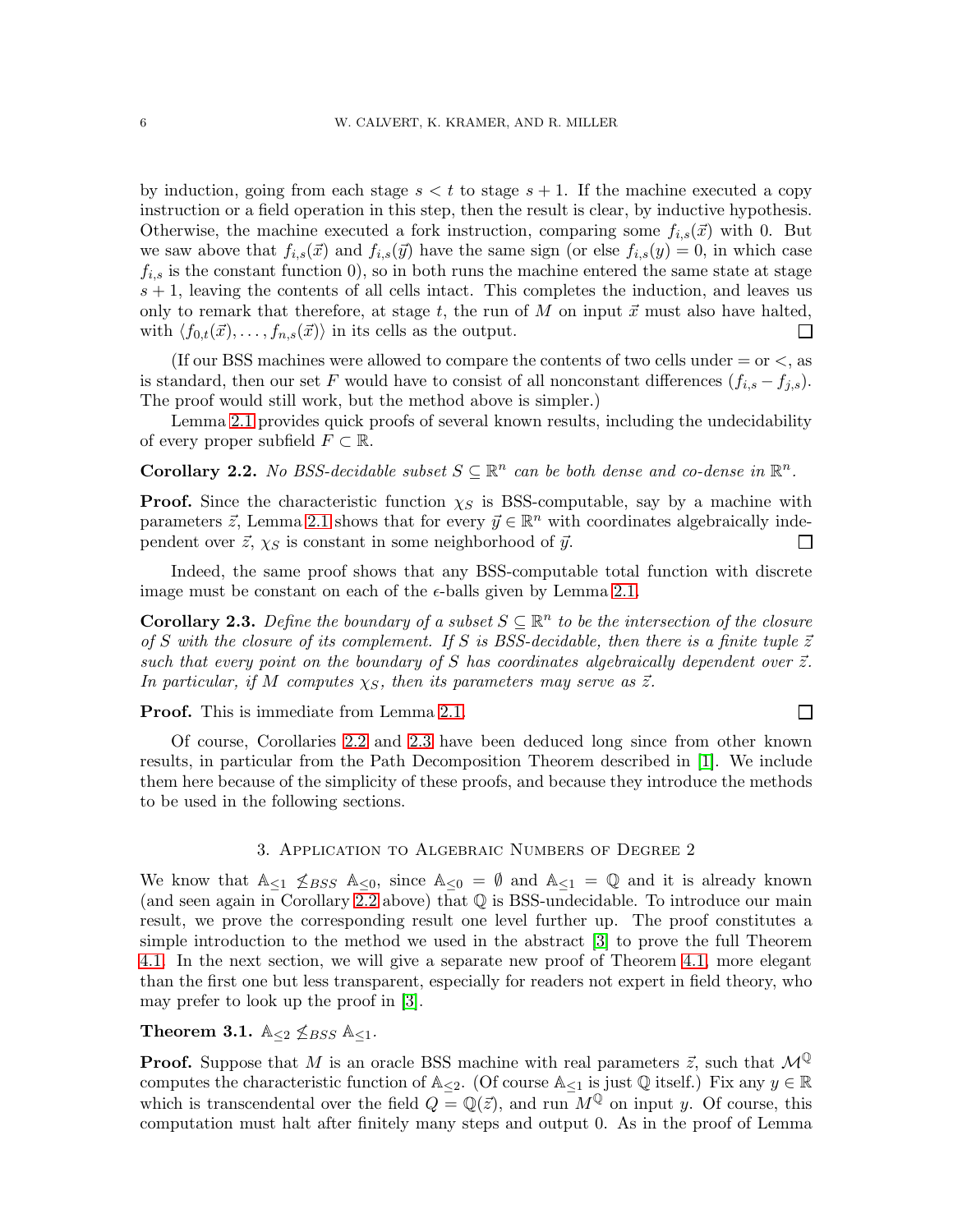by induction, going from each stage  $s < t$  to stage  $s + 1$ . If the machine executed a copy instruction or a field operation in this step, then the result is clear, by inductive hypothesis. Otherwise, the machine executed a fork instruction, comparing some  $f_{i,s}(\vec{x})$  with 0. But we saw above that  $f_{i,s}(\vec{x})$  and  $f_{i,s}(\vec{y})$  have the same sign (or else  $f_{i,s}(y) = 0$ , in which case  $f_{i,s}$  is the constant function 0), so in both runs the machine entered the same state at stage  $s + 1$ , leaving the contents of all cells intact. This completes the induction, and leaves us only to remark that therefore, at stage t, the run of M on input  $\vec{x}$  must also have halted, with  $\langle f_{0,t}(\vec{x}), \ldots, f_{n,s}(\vec{x})\rangle$  in its cells as the output. П

(If our BSS machines were allowed to compare the contents of two cells under  $=$  or  $\lt$ , as is standard, then our set F would have to consist of all nonconstant differences  $(f_{i,s} - f_{i,s})$ . The proof would still work, but the method above is simpler.)

Lemma [2.1](#page-4-1) provides quick proofs of several known results, including the undecidability of every proper subfield  $F \subset \mathbb{R}$ .

<span id="page-5-1"></span>**Corollary 2.2.** No BSS-decidable subset  $S \subseteq \mathbb{R}^n$  can be both dense and co-dense in  $\mathbb{R}^n$ .

**Proof.** Since the characteristic function  $\chi_S$  is BSS-computable, say by a machine with parameters  $\vec{z}$ , Lemma [2.1](#page-4-1) shows that for every  $\vec{y} \in \mathbb{R}^n$  with coordinates algebraically independent over  $\vec{z}$ ,  $\chi_S$  is constant in some neighborhood of  $\vec{y}$ .  $\mathsf{L}$ 

Indeed, the same proof shows that any BSS-computable total function with discrete image must be constant on each of the  $\epsilon$ -balls given by Lemma [2.1.](#page-4-1)

<span id="page-5-2"></span>**Corollary 2.3.** Define the boundary of a subset  $S \subseteq \mathbb{R}^n$  to be the intersection of the closure of S with the closure of its complement. If S is BSS-decidable, then there is a finite tuple  $\vec{z}$ such that every point on the boundary of S has coordinates algebraically dependent over  $\vec{z}$ . In particular, if M computes  $\chi_S$ , then its parameters may serve as  $\vec{z}$ .

 $\Box$ 

Proof. This is immediate from Lemma [2.1.](#page-4-1)

Of course, Corollaries [2.2](#page-5-1) and [2.3](#page-5-2) have been deduced long since from other known results, in particular from the Path Decomposition Theorem described in [\[1\]](#page-18-1). We include them here because of the simplicity of these proofs, and because they introduce the methods to be used in the following sections.

#### 3. Application to Algebraic Numbers of Degree 2

<span id="page-5-0"></span>We know that  $A_{\leq 1}$   $\leq$  BSS  $A_{\leq 0}$ , since  $A_{\leq 0} = \emptyset$  and  $A_{\leq 1} = \mathbb{Q}$  and it is already known (and seen again in Corollary [2.2](#page-5-1) above) that Q is BSS-undecidable. To introduce our main result, we prove the corresponding result one level further up. The proof constitutes a simple introduction to the method we used in the abstract [\[3\]](#page-19-6) to prove the full Theorem [4.1.](#page-7-1) In the next section, we will give a separate new proof of Theorem [4.1,](#page-7-1) more elegant than the first one but less transparent, especially for readers not expert in field theory, who may prefer to look up the proof in [\[3\]](#page-19-6).

Theorem 3.1.  $\mathbb{A}_{\leq 2}$   $\nleq$   $_{BSS}$   $\mathbb{A}_{\leq 1}$ .

**Proof.** Suppose that M is an oracle BSS machine with real parameters  $\vec{z}$ , such that  $\mathcal{M}^{\mathbb{Q}}$ computes the characteristic function of  $\mathbb{A}_{\leq 2}$ . (Of course  $\mathbb{A}_{\leq 1}$  is just  $\mathbb Q$  itself.) Fix any  $y \in \mathbb R$ which is transcendental over the field  $Q = \mathbb{Q}(\vec{z})$ , and run  $M^{\mathbb{Q}}$  on input y. Of course, this computation must halt after finitely many steps and output 0. As in the proof of Lemma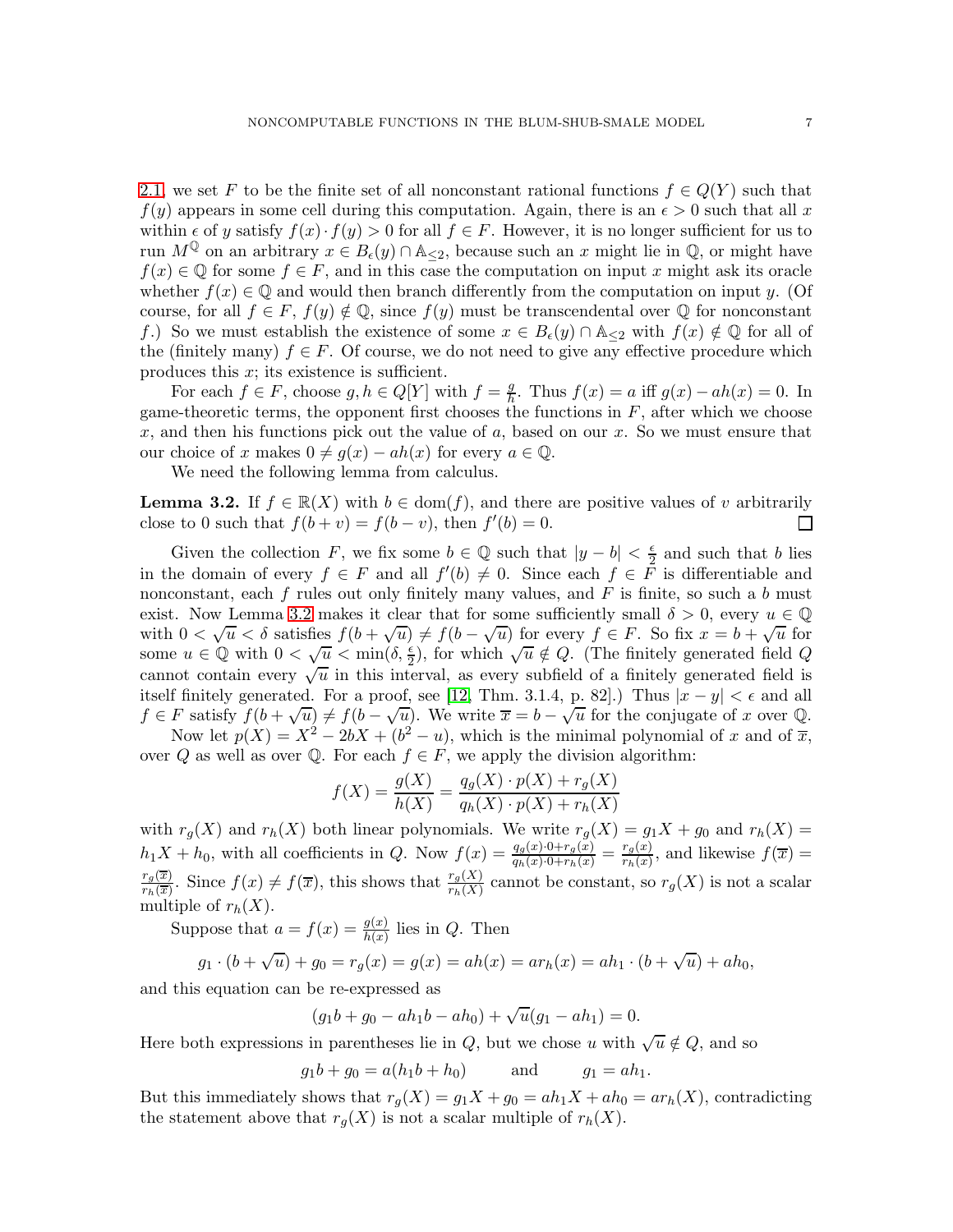[2.1,](#page-4-1) we set F to be the finite set of all nonconstant rational functions  $f \in Q(Y)$  such that  $f(y)$  appears in some cell during this computation. Again, there is an  $\epsilon > 0$  such that all x within  $\epsilon$  of y satisfy  $f(x) \cdot f(y) > 0$  for all  $f \in F$ . However, it is no longer sufficient for us to run  $M^{\mathbb{Q}}$  on an arbitrary  $x \in B_{\epsilon}(y) \cap \mathbb{A}_{\leq 2}$ , because such an x might lie in  $\mathbb{Q}$ , or might have  $f(x) \in \mathbb{Q}$  for some  $f \in F$ , and in this case the computation on input x might ask its oracle whether  $f(x) \in \mathbb{Q}$  and would then branch differently from the computation on input y. (Of course, for all  $f \in F$ ,  $f(y) \notin \mathbb{Q}$ , since  $f(y)$  must be transcendental over  $\mathbb Q$  for nonconstant f.) So we must establish the existence of some  $x \in B_{\epsilon}(y) \cap \mathbb{A}_{\leq 2}$  with  $f(x) \notin \mathbb{Q}$  for all of the (finitely many)  $f \in F$ . Of course, we do not need to give any effective procedure which produces this  $x$ ; its existence is sufficient.

For each  $f \in F$ , choose  $g, h \in Q[Y]$  with  $f = \frac{g}{h}$  $\frac{g}{h}$ . Thus  $f(x) = a$  iff  $g(x) - ah(x) = 0$ . In game-theoretic terms, the opponent first chooses the functions in  $F$ , after which we choose x, and then his functions pick out the value of a, based on our x. So we must ensure that our choice of x makes  $0 \neq g(x) - ah(x)$  for every  $a \in \mathbb{Q}$ .

We need the following lemma from calculus.

<span id="page-6-0"></span>**Lemma 3.2.** If  $f \in \mathbb{R}(X)$  with  $b \in \text{dom}(f)$ , and there are positive values of v arbitrarily close to 0 such that  $f(b+v) = f(b-v)$ , then  $f'(b) = 0$ . close to 0 such that  $f(b + v) = f(b - v)$ , then  $f'(b) = 0$ .

Given the collection F, we fix some  $b \in \mathbb{Q}$  such that  $|y - b| < \frac{\epsilon}{2}$  $\frac{\epsilon}{2}$  and such that b lies in the domain of every  $f \in F$  and all  $f'(b) \neq 0$ . Since each  $f \in F$  is differentiable and nonconstant, each f rules out only finitely many values, and  $F$  is finite, so such a b must exist. Now Lemma [3.2](#page-6-0) makes it clear that for some sufficiently small  $\delta > 0$ , every  $u \in \mathbb{Q}$ with  $0 < \sqrt{u} < \delta$  satisfies  $f(b + \sqrt{u}) \neq f(b - \sqrt{u})$  for every  $f \in F$ . So fix  $x = b + \sqrt{u}$  for some  $u \in \mathbb{Q}$  with  $0 < \sqrt{u} < \min(\delta, \frac{\epsilon}{2})$ , for which  $\sqrt{u} \notin Q$ . (The finitely generated field Q cannot contain every  $\sqrt{u}$  in this interval, as every subfield of a finitely generated field is itself finitely generated. For a proof, see [\[12,](#page-19-7) Thm. 3.1.4, p. 82].) Thus  $|x - y| < \epsilon$  and all  $f \in F$  satisfy  $f(b+\sqrt{u}) \neq f(b-\sqrt{u})$ . We write  $\overline{x} = b - \sqrt{u}$  for the conjugate of x over Q.

Now let  $p(X) = X^2 - 2bX + (b^2 - u)$ , which is the minimal polynomial of x and of  $\overline{x}$ , over Q as well as over Q. For each  $f \in F$ , we apply the division algorithm:

$$
f(X) = \frac{g(X)}{h(X)} = \frac{q_g(X) \cdot p(X) + r_g(X)}{q_h(X) \cdot p(X) + r_h(X)}
$$

with  $r_g(X)$  and  $r_h(X)$  both linear polynomials. We write  $r_g(X) = g_1X + g_0$  and  $r_h(X) = g_0(X)$  $h_1X + h_0$ , with all coefficients in Q. Now  $f(x) = \frac{q_g(x) \cdot 0 + r_g(x)}{q_h(x) \cdot 0 + r_h(x)} = \frac{r_g(x)}{r_h(x)}$  $\frac{r_g(x)}{r_h(x)}$ , and likewise  $f(\overline{x}) =$  $r_g(\overline{x})$  $\frac{r_g(\overline{x})}{r_h(\overline{x})}$ . Since  $f(x) \neq f(\overline{x})$ , this shows that  $\frac{r_g(X)}{r_h(X)}$  cannot be constant, so  $r_g(X)$  is not a scalar multiple of  $r_h(X)$ .

Suppose that  $a = f(x) = \frac{g(x)}{h(x)}$  lies in Q. Then

$$
g_1 \cdot (b + \sqrt{u}) + g_0 = r_g(x) = g(x) = ah(x) = ar_h(x) = ah_1 \cdot (b + \sqrt{u}) + ah_0,
$$

and this equation can be re-expressed as

$$
(g_1b + g_0 - ah_1b - ah_0) + \sqrt{u}(g_1 - ah_1) = 0.
$$

Here both expressions in parentheses lie in  $Q$ , but we chose u with  $\sqrt{u} \notin Q$ , and so

$$
g_1b + g_0 = a(h_1b + h_0)
$$
 and  $g_1 = ah_1$ .

But this immediately shows that  $r_q(X) = g_1X + g_0 = ah_1X + ah_0 = ar_h(X)$ , contradicting the statement above that  $r_g(X)$  is not a scalar multiple of  $r_h(X)$ .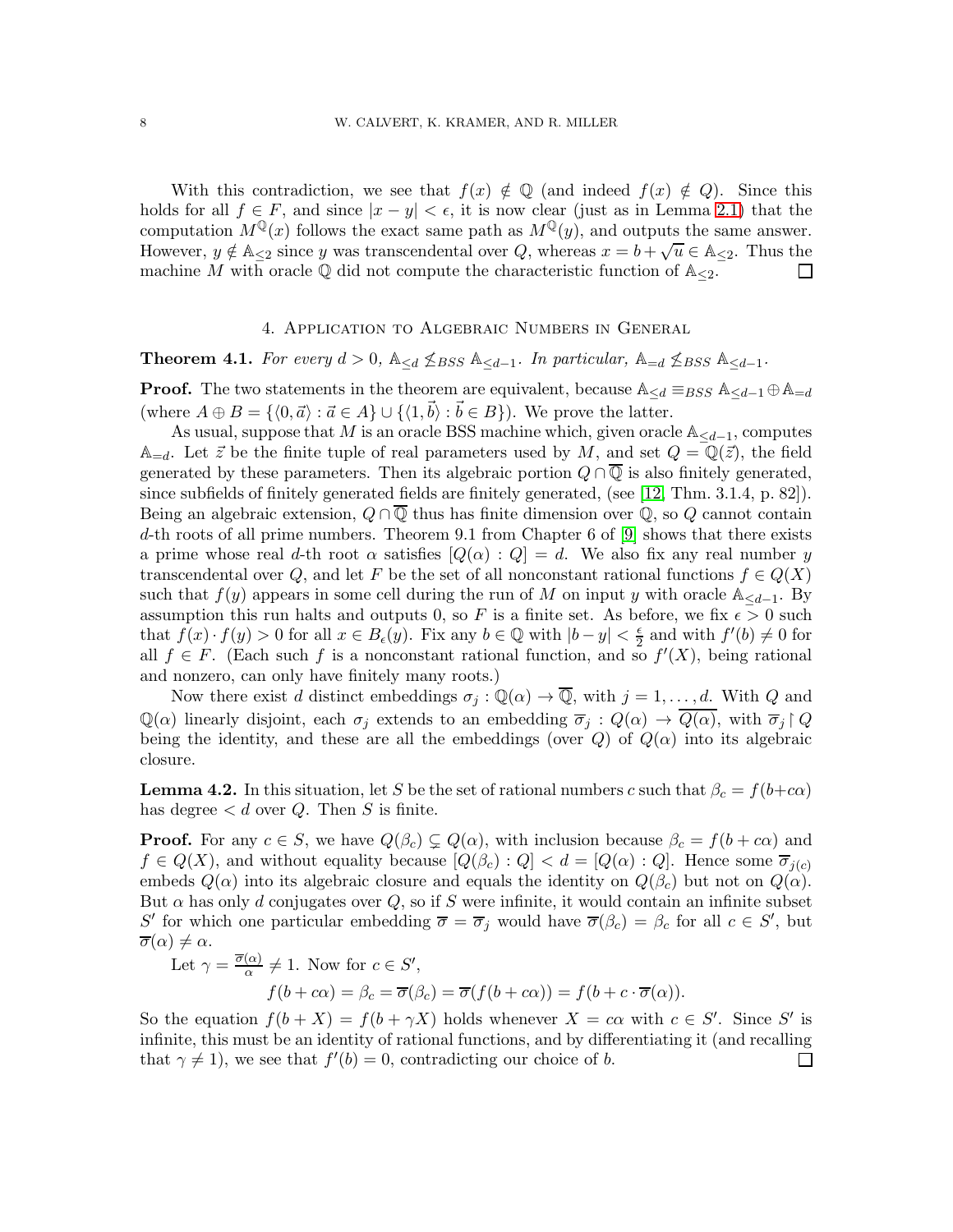With this contradiction, we see that  $f(x) \notin \mathbb{Q}$  (and indeed  $f(x) \notin Q$ ). Since this holds for all  $f \in F$ , and since  $|x - y| < \epsilon$ , it is now clear (just as in Lemma [2.1\)](#page-4-1) that the computation  $M^{\mathbb{Q}}(x)$  follows the exact same path as  $M^{\mathbb{Q}}(y)$ , and outputs the same answer. However,  $y \notin \mathbb{A}_{\leq 2}$  since y was transcendental over Q, whereas  $x = b + \sqrt{u} \in \mathbb{A}_{\leq 2}$ . Thus the machine M with oracle  $\mathbb Q$  did not compute the characteristic function of  $\mathbb{A}_{\leq 2}$ .

#### 4. Application to Algebraic Numbers in General

<span id="page-7-1"></span><span id="page-7-0"></span>Theorem 4.1. For every  $d > 0$ ,  $\mathbb{A}_{\leq d}$   $\nleq$  Bss  $\mathbb{A}_{\leq d-1}$ . In particular,  $\mathbb{A}_{=d}$   $\nleq$  Bss  $\mathbb{A}_{\leq d-1}$ .

**Proof.** The two statements in the theorem are equivalent, because  $\mathbb{A}_{\leq d} \equiv_{BSS} \mathbb{A}_{\leq d-1} \oplus \mathbb{A}_{=d}$ (where  $A \oplus B = \{ \langle 0, \vec{a} \rangle : \vec{a} \in A \} \cup \{ \langle 1, \vec{b} \rangle : \vec{b} \in B \}$ ). We prove the latter.

As usual, suppose that M is an oracle BSS machine which, given oracle  $\mathbb{A}_{\leq d-1}$ , computes  $\mathbb{A}_{=d}$ . Let  $\vec{z}$  be the finite tuple of real parameters used by M, and set  $Q = \mathbb{Q}(\vec{z})$ , the field generated by these parameters. Then its algebraic portion  $Q \cap \overline{Q}$  is also finitely generated, since subfields of finitely generated fields are finitely generated, (see [\[12,](#page-19-7) Thm. 3.1.4, p. 82]). Being an algebraic extension,  $Q \cap \overline{Q}$  thus has finite dimension over  $\mathbb{Q}$ , so  $Q$  cannot contain d-th roots of all prime numbers. Theorem 9.1 from Chapter 6 of [\[9\]](#page-19-8) shows that there exists a prime whose real d-th root  $\alpha$  satisfies  $[Q(\alpha) : Q] = d$ . We also fix any real number y transcendental over Q, and let F be the set of all nonconstant rational functions  $f \in Q(X)$ such that  $f(y)$  appears in some cell during the run of M on input y with oracle  $\mathbb{A}_{\le d-1}$ . By assumption this run halts and outputs 0, so F is a finite set. As before, we fix  $\epsilon > 0$  such that  $f(x) \cdot f(y) > 0$  for all  $x \in B_{\epsilon}(y)$ . Fix any  $b \in \mathbb{Q}$  with  $|b - y| < \frac{\epsilon}{2}$  $\frac{\epsilon}{2}$  and with  $f'(b) \neq 0$  for all  $f \in F$ . (Each such f is a nonconstant rational function, and so  $f'(X)$ , being rational and nonzero, can only have finitely many roots.)

Now there exist d distinct embeddings  $\sigma_j : \mathbb{Q}(\alpha) \to \overline{\mathbb{Q}}$ , with  $j = 1, \ldots, d$ . With Q and  $\mathbb{Q}(\alpha)$  linearly disjoint, each  $\sigma_j$  extends to an embedding  $\overline{\sigma}_j$  :  $Q(\alpha) \to \overline{Q(\alpha)}$ , with  $\overline{\sigma}_j \upharpoonright Q$ being the identity, and these are all the embeddings (over  $Q$ ) of  $Q(\alpha)$  into its algebraic closure.

**Lemma 4.2.** In this situation, let S be the set of rational numbers c such that  $\beta_c = f(b+c\alpha)$ has degree  $\lt d$  over Q. Then S is finite.

**Proof.** For any  $c \in S$ , we have  $Q(\beta_c) \subsetneq Q(\alpha)$ , with inclusion because  $\beta_c = f(b + c\alpha)$  and  $f \in Q(X)$ , and without equality because  $[Q(\beta_c) : Q] < d = [Q(\alpha) : Q]$ . Hence some  $\overline{\sigma}_{j(c)}$ embeds  $Q(\alpha)$  into its algebraic closure and equals the identity on  $Q(\beta_c)$  but not on  $Q(\alpha)$ . But  $\alpha$  has only d conjugates over Q, so if S were infinite, it would contain an infinite subset S' for which one particular embedding  $\overline{\sigma} = \overline{\sigma}_j$  would have  $\overline{\sigma}(\beta_c) = \beta_c$  for all  $c \in S'$ , but  $\overline{\sigma}(\alpha) \neq \alpha$ .

Let 
$$
\gamma = \frac{\overline{\sigma}(\alpha)}{\alpha} \neq 1
$$
. Now for  $c \in S'$ ,  
\n
$$
f(b + c\alpha) = \beta_c = \overline{\sigma}(\beta_c) = \overline{\sigma}(f(b + c\alpha)) = f(b + c \cdot \overline{\sigma}(\alpha)).
$$

So the equation  $f(b+X) = f(b+\gamma X)$  holds whenever  $X = c\alpha$  with  $c \in S'$ . Since S' is infinite, this must be an identity of rational functions, and by differentiating it (and recalling that  $\gamma \neq 1$ , we see that  $f'(b) = 0$ , contradicting our choice of b.  $\Box$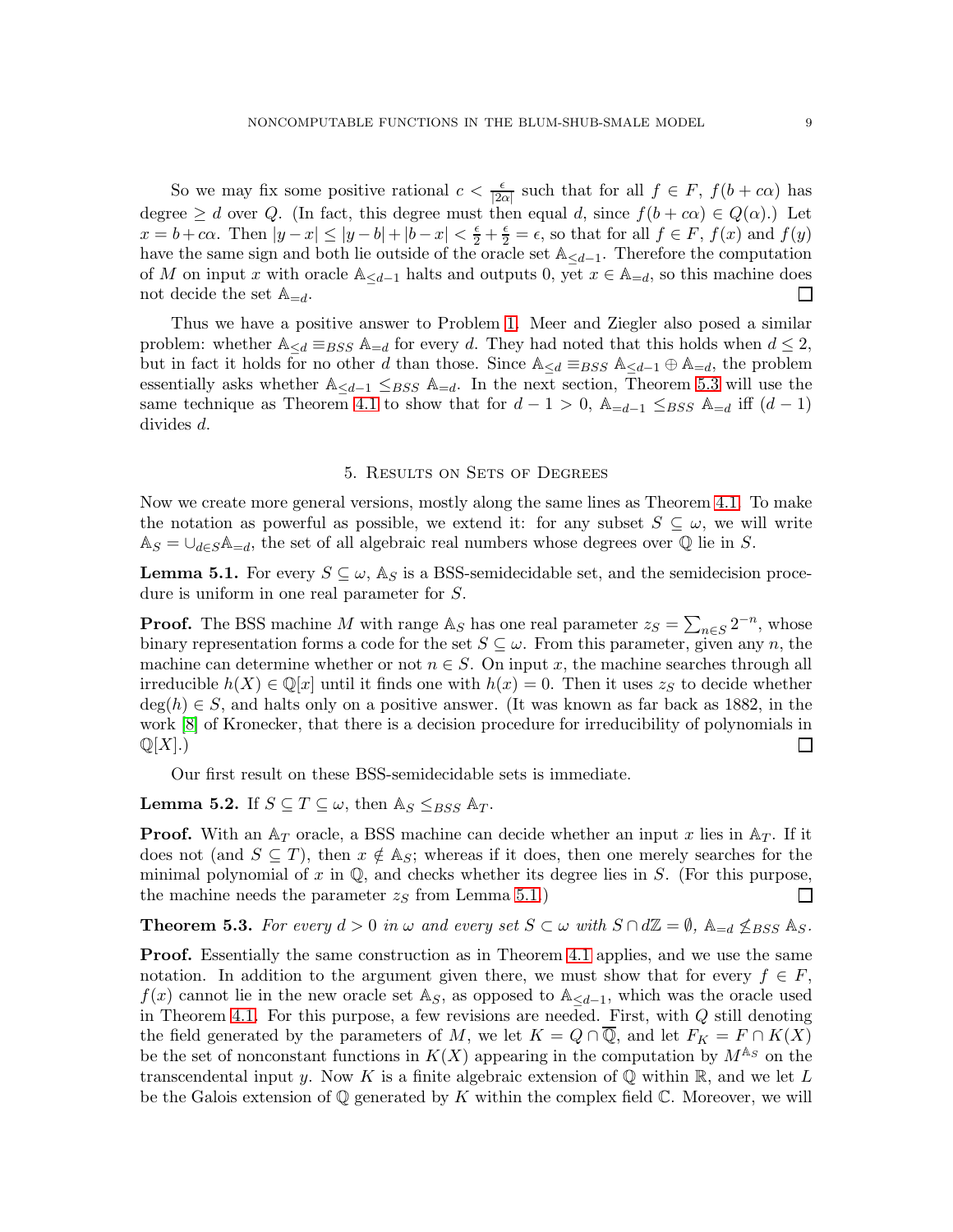So we may fix some positive rational  $c < \frac{\epsilon}{|2\alpha|}$  such that for all  $f \in F$ ,  $f(b + c\alpha)$  has degree  $\geq d$  over Q. (In fact, this degree must then equal d, since  $f(b + c\alpha) \in Q(\alpha)$ .) Let  $x = b + c\alpha$ . Then  $|y - x| \le |y - b| + |b - x| < \frac{\epsilon}{2} + \frac{\epsilon}{2} = \epsilon$ , so that for all  $f \in F$ ,  $f(x)$  and  $f(y)$ have the same sign and both lie outside of the oracle set  $\mathbb{A}_{\leq d-1}$ . Therefore the computation of M on input x with oracle  $\mathbb{A}_{\leq d-1}$  halts and outputs 0, yet  $x \in \mathbb{A}_{=d}$ , so this machine does not decide the set  $\mathbb{A}_{=d}$ . □ not decide the set  $\mathbb{A}_{=d}$ .

Thus we have a positive answer to Problem [1.](#page-3-0) Meer and Ziegler also posed a similar problem: whether  $\mathbb{A}_{\leq d} \equiv_{BSS} \mathbb{A}_{=d}$  for every d. They had noted that this holds when  $d \leq 2$ , but in fact it holds for no other d than those. Since  $\mathbb{A}_{\leq d} \equiv_{BSS} \mathbb{A}_{\leq d-1} \oplus \mathbb{A}_{=d}$ , the problem essentially asks whether  $\mathbb{A}_{\leq d-1} \leq_{BSS} \mathbb{A}_{=d}$ . In the next section, Theorem [5.3](#page-8-2) will use the same technique as Theorem [4.1](#page-7-1) to show that for  $d-1 > 0$ ,  $\mathbb{A}_{=d-1} \leq_{BSS} \mathbb{A}_{=d}$  iff  $(d-1)$ divides d.

#### 5. Results on Sets of Degrees

<span id="page-8-1"></span>Now we create more general versions, mostly along the same lines as Theorem [4.1.](#page-7-1) To make the notation as powerful as possible, we extend it: for any subset  $S \subseteq \omega$ , we will write  $\mathbb{A}_S = \bigcup_{d \in S} \mathbb{A}_{=d}$ , the set of all algebraic real numbers whose degrees over  $\mathbb Q$  lie in S.

<span id="page-8-3"></span>**Lemma 5.1.** For every  $S \subseteq \omega$ ,  $\mathbb{A}_S$  is a BSS-semidecidable set, and the semidecision procedure is uniform in one real parameter for S.

**Proof.** The BSS machine M with range  $\mathbb{A}_S$  has one real parameter  $z_S = \sum_{n \in S} 2^{-n}$ , whose binary representation forms a code for the set  $S \subseteq \omega$ . From this parameter, given any n, the machine can determine whether or not  $n \in S$ . On input x, the machine searches through all irreducible  $h(X) \in \mathbb{Q}[x]$  until it finds one with  $h(x) = 0$ . Then it uses  $z<sub>S</sub>$  to decide whether  $deg(h) \in S$ , and halts only on a positive answer. (It was known as far back as 1882, in the work [\[8\]](#page-19-9) of Kronecker, that there is a decision procedure for irreducibility of polynomials in  $\mathbb{Q}[X]$ .)  $\Box$ 

Our first result on these BSS-semidecidable sets is immediate.

<span id="page-8-0"></span>**Lemma 5.2.** If  $S \subseteq T \subseteq \omega$ , then  $\mathbb{A}_S \leq_{BSS} \mathbb{A}_T$ .

**Proof.** With an  $A_T$  oracle, a BSS machine can decide whether an input x lies in  $A_T$ . If it does not (and  $S \subseteq T$ ), then  $x \notin A_S$ ; whereas if it does, then one merely searches for the minimal polynomial of x in  $\mathbb{Q}$ , and checks whether its degree lies in S. (For this purpose, the machine needs the parameter  $z<sub>S</sub>$  from Lemma [5.1.](#page-8-3))  $\Box$ 

<span id="page-8-2"></span>**Theorem 5.3.** For every  $d > 0$  in  $\omega$  and every set  $S \subset \omega$  with  $S \cap d\mathbb{Z} = \emptyset$ ,  $\mathbb{A}_{=d} \nleq_{BSS} \mathbb{A}_S$ .

**Proof.** Essentially the same construction as in Theorem [4.1](#page-7-1) applies, and we use the same notation. In addition to the argument given there, we must show that for every  $f \in F$ ,  $f(x)$  cannot lie in the new oracle set A<sub>S</sub>, as opposed to A<sub>≤d−1</sub>, which was the oracle used in Theorem [4.1.](#page-7-1) For this purpose, a few revisions are needed. First, with  $Q$  still denoting the field generated by the parameters of M, we let  $K = Q \cap \overline{Q}$ , and let  $F_K = F \cap K(X)$ be the set of nonconstant functions in  $K(X)$  appearing in the computation by  $M^{\mathbb{A}_S}$  on the transcendental input y. Now K is a finite algebraic extension of  $\mathbb Q$  within  $\mathbb R$ , and we let L be the Galois extension of  $\mathbb Q$  generated by K within the complex field  $\mathbb C$ . Moreover, we will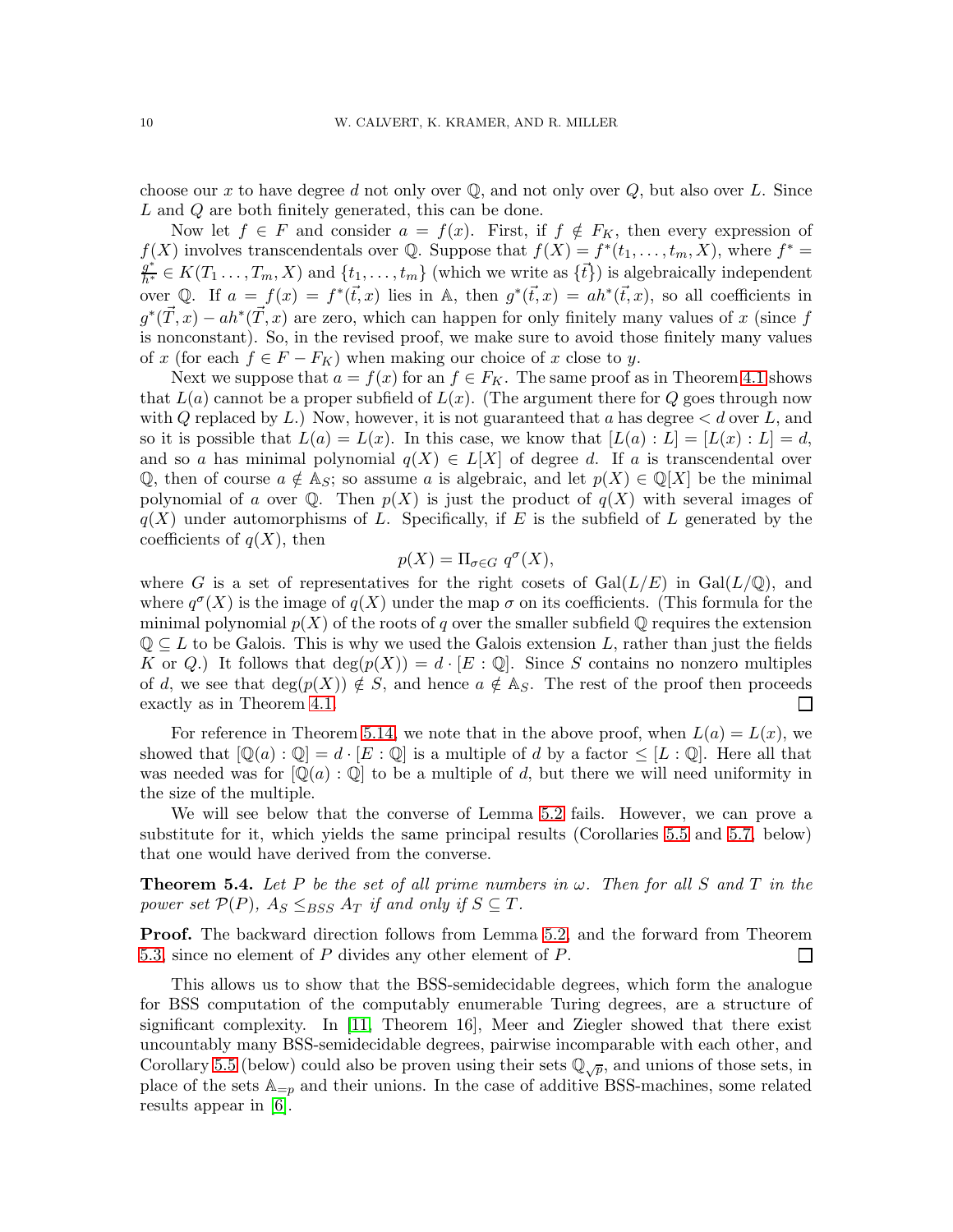choose our x to have degree d not only over  $\mathbb{Q}$ , and not only over  $Q$ , but also over L. Since L and Q are both finitely generated, this can be done.

Now let  $f \in F$  and consider  $a = f(x)$ . First, if  $f \notin F_K$ , then every expression of  $f(X)$  involves transcendentals over Q. Suppose that  $f(X) = f^*(t_1, \ldots, t_m, X)$ , where  $f^* =$  $g^* \in K(T_1, \ldots, T_m, X)$  and  $\{t_1, \ldots, t_m\}$  (which we write as  $\{\vec{t}\}\)$  is algebraically independent over Q. If  $a = f(x) = f^*(\vec{t},x)$  lies in A, then  $g^*(\vec{t},x) = ah^*(\vec{t},x)$ , so all coefficients in  $g^*(\vec{T},x) - ah^*(\vec{T},x)$  are zero, which can happen for only finitely many values of x (since f is nonconstant). So, in the revised proof, we make sure to avoid those finitely many values of x (for each  $f \in F - F_K$ ) when making our choice of x close to y.

Next we suppose that  $a = f(x)$  for an  $f \in F_K$ . The same proof as in Theorem [4.1](#page-7-1) shows that  $L(a)$  cannot be a proper subfield of  $L(x)$ . (The argument there for Q goes through now with Q replaced by L.) Now, however, it is not guaranteed that a has degree  $\lt d$  over L, and so it is possible that  $L(a) = L(x)$ . In this case, we know that  $[L(a) : L] = [L(x) : L] = d$ , and so a has minimal polynomial  $q(X) \in L[X]$  of degree d. If a is transcendental over Q, then of course  $a \notin A_S$ ; so assume a is algebraic, and let  $p(X) \in \mathbb{Q}[X]$  be the minimal polynomial of a over  $\mathbb{Q}$ . Then  $p(X)$  is just the product of  $q(X)$  with several images of  $q(X)$  under automorphisms of L. Specifically, if E is the subfield of L generated by the coefficients of  $q(X)$ , then

$$
p(X) = \Pi_{\sigma \in G} q^{\sigma}(X),
$$

where G is a set of representatives for the right cosets of  $Gal(L/E)$  in  $Gal(L/\mathbb{Q})$ , and where  $q^{\sigma}(X)$  is the image of  $q(X)$  under the map  $\sigma$  on its coefficients. (This formula for the minimal polynomial  $p(X)$  of the roots of q over the smaller subfield Q requires the extension  $\mathbb{Q} \subseteq L$  to be Galois. This is why we used the Galois extension L, rather than just the fields K or Q.) It follows that  $\deg(p(X)) = d \cdot [E : \mathbb{Q}]$ . Since S contains no nonzero multiples of d, we see that deg( $p(X)$ )  $\notin S$ , and hence  $a \notin A_S$ . The rest of the proof then proceeds exactly as in Theorem 4.1. exactly as in Theorem [4.1.](#page-7-1)

For reference in Theorem [5.14,](#page-13-1) we note that in the above proof, when  $L(a) = L(x)$ , we showed that  $[\mathbb{Q}(a):\mathbb{Q}]=d\cdot [E:\mathbb{Q}]$  is a multiple of d by a factor  $\leq [L:\mathbb{Q}]$ . Here all that was needed was for  $[\mathbb{Q}(a) : \mathbb{Q}]$  to be a multiple of d, but there we will need uniformity in the size of the multiple.

We will see below that the converse of Lemma [5.2](#page-8-0) fails. However, we can prove a substitute for it, which yields the same principal results (Corollaries [5.5](#page-10-0) and [5.7,](#page-10-1) below) that one would have derived from the converse.

<span id="page-9-0"></span>**Theorem 5.4.** Let P be the set of all prime numbers in  $\omega$ . Then for all S and T in the power set  $\mathcal{P}(P)$ ,  $A_S \leq_{BSS} A_T$  if and only if  $S \subseteq T$ .

Proof. The backward direction follows from Lemma [5.2,](#page-8-0) and the forward from Theorem [5.3,](#page-8-2) since no element of P divides any other element of P.  $\Box$ 

This allows us to show that the BSS-semidecidable degrees, which form the analogue for BSS computation of the computably enumerable Turing degrees, are a structure of significant complexity. In [\[11,](#page-19-2) Theorem 16], Meer and Ziegler showed that there exist uncountably many BSS-semidecidable degrees, pairwise incomparable with each other, and Corollary [5.5](#page-10-0) (below) could also be proven using their sets  $\mathbb{Q}_{\sqrt{p}}$ , and unions of those sets, in place of the sets  $\mathbb{A}_{=p}$  and their unions. In the case of additive BSS-machines, some related results appear in [\[6\]](#page-19-10).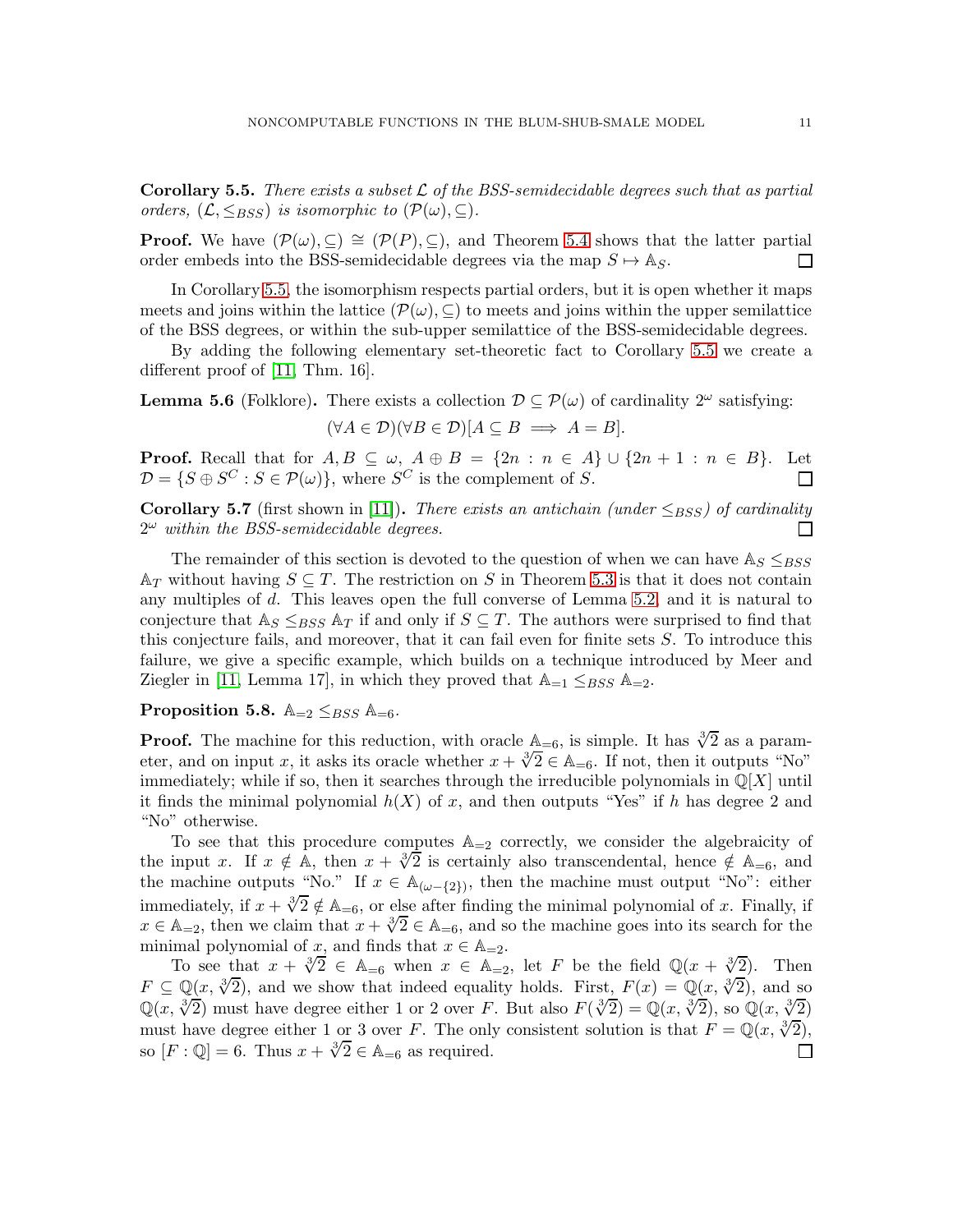<span id="page-10-0"></span>**Corollary 5.5.** There exists a subset  $\mathcal{L}$  of the BSS-semidecidable degrees such that as partial orders,  $(\mathcal{L}, \leq_{BSS})$  is isomorphic to  $(\mathcal{P}(\omega), \subseteq)$ .

**Proof.** We have  $(\mathcal{P}(\omega), \subseteq) \cong (\mathcal{P}(P), \subseteq)$ , and Theorem [5.4](#page-9-0) shows that the latter partial order embeds into the BSS-semidecidable degrees via the map  $S \mapsto \mathbb{A}_S$ . order embeds into the BSS-semidecidable degrees via the map  $S \mapsto \mathbb{A}_S$ .

In Corollary [5.5,](#page-10-0) the isomorphism respects partial orders, but it is open whether it maps meets and joins within the lattice  $(\mathcal{P}(\omega), \subseteq)$  to meets and joins within the upper semilattice of the BSS degrees, or within the sub-upper semilattice of the BSS-semidecidable degrees.

By adding the following elementary set-theoretic fact to Corollary [5.5](#page-10-0) we create a different proof of [\[11,](#page-19-2) Thm. 16].

**Lemma 5.6** (Folklore). There exists a collection  $\mathcal{D} \subseteq \mathcal{P}(\omega)$  of cardinality  $2^{\omega}$  satisfying:  $(\forall A \in \mathcal{D})(\forall B \in \mathcal{D})[A \subseteq B \implies A = B].$ 

**Proof.** Recall that for  $A, B \subseteq \omega$ ,  $A \oplus B = \{2n : n \in A\} \cup \{2n + 1 : n \in B\}$ . Let  $\mathcal{D} = \{S \oplus S^C : S \in \mathcal{P}(\omega)\}$ , where  $S^C$  is the complement of S.  $\mathcal{D} = \{ S \oplus S^C : S \in \mathcal{P}(\omega) \},\$  where  $S^C$  is the complement of S.

<span id="page-10-1"></span>**Corollary 5.7** (first shown in [\[11\]](#page-19-2)). There exists an antichain (under  $\leq_{BSS}$ ) of cardinality  $2^{\omega}$  within the BSS-semidecidable degrees.  $2^{\omega}$  within the BSS-semidecidable degrees.

The remainder of this section is devoted to the question of when we can have  $\mathbb{A}_S \leq_{BSS}$  $A_T$  without having  $S \subseteq T$ . The restriction on S in Theorem [5.3](#page-8-2) is that it does not contain any multiples of d. This leaves open the full converse of Lemma [5.2,](#page-8-0) and it is natural to conjecture that  $\mathbb{A}_S \leq_{BSS} \mathbb{A}_T$  if and only if  $S \subseteq T$ . The authors were surprised to find that this conjecture fails, and moreover, that it can fail even for finite sets  $S$ . To introduce this failure, we give a specific example, which builds on a technique introduced by Meer and Ziegler in [\[11,](#page-19-2) Lemma 17], in which they proved that  $\mathbb{A}_{-1} \leq_{BSS} \mathbb{A}_{-2}$ .

# <span id="page-10-2"></span>Proposition 5.8.  $\mathbb{A}_{=2} \leq_{BSS} \mathbb{A}_{=6}$ .

**Proof.** The machine for this reduction, with oracle  $\mathbb{A}_{=6}$ , is simple. It has  $\sqrt[3]{2}$  as a parameter, and on input x, it asks its oracle whether  $x + \sqrt[3]{2} \in \mathbb{A}_{=6}$ . If not, then it outputs "No" immediately; while if so, then it searches through the irreducible polynomials in  $\mathbb{Q}[X]$  until it finds the minimal polynomial  $h(X)$  of x, and then outputs "Yes" if h has degree 2 and "No" otherwise.

To see that this procedure computes  $\mathbb{A}_{=2}$  correctly, we consider the algebraicity of the input x. If  $x \notin A$ , then  $x + \sqrt[3]{2}$  is certainly also transcendental, hence  $\notin A_{=6}$ , and the machine outputs "No." If  $x \in \mathbb{A}_{(\omega - \{2\})}$ , then the machine must output "No": either immediately, if  $x + \sqrt[3]{2} \notin \mathbb{A}_{=6}$ , or else after finding the minimal polynomial of x. Finally, if  $x \in \mathbb{A}_{=2}$ , then we claim that  $x + \sqrt[3]{2} \in \mathbb{A}_{=6}$ , and so the machine goes into its search for the minimal polynomial of x, and finds that  $x \in A_{-2}$ .

To see that  $x + \sqrt[3]{2} \in A_{=6}$  when  $x \in A_{=2}$ , let F be the field  $\mathbb{Q}(x + \sqrt[3]{2})$ . Then  $F \subseteq \mathbb{Q}(x, \sqrt[3]{2})$ , and we show that indeed equality holds. First,  $F(x) = \mathbb{Q}(x, \sqrt[3]{2})$ , and so  $\mathbb{Q}(x, \sqrt[3]{2})$  must have degree either 1 or 2 over F. But also  $F(\sqrt[3]{2}) = \mathbb{Q}(x, \sqrt[3]{2})$ , so  $\mathbb{Q}(x, \sqrt[3]{2})$ must have degree either 1 or 3 over F. The only consistent solution is that  $F = \mathbb{Q}(x, \sqrt[3]{2})$ , so  $[F: \mathbb{Q}] = 6$ . Thus  $x + \sqrt[3]{2} \in \mathbb{A}_{=6}$  as required. П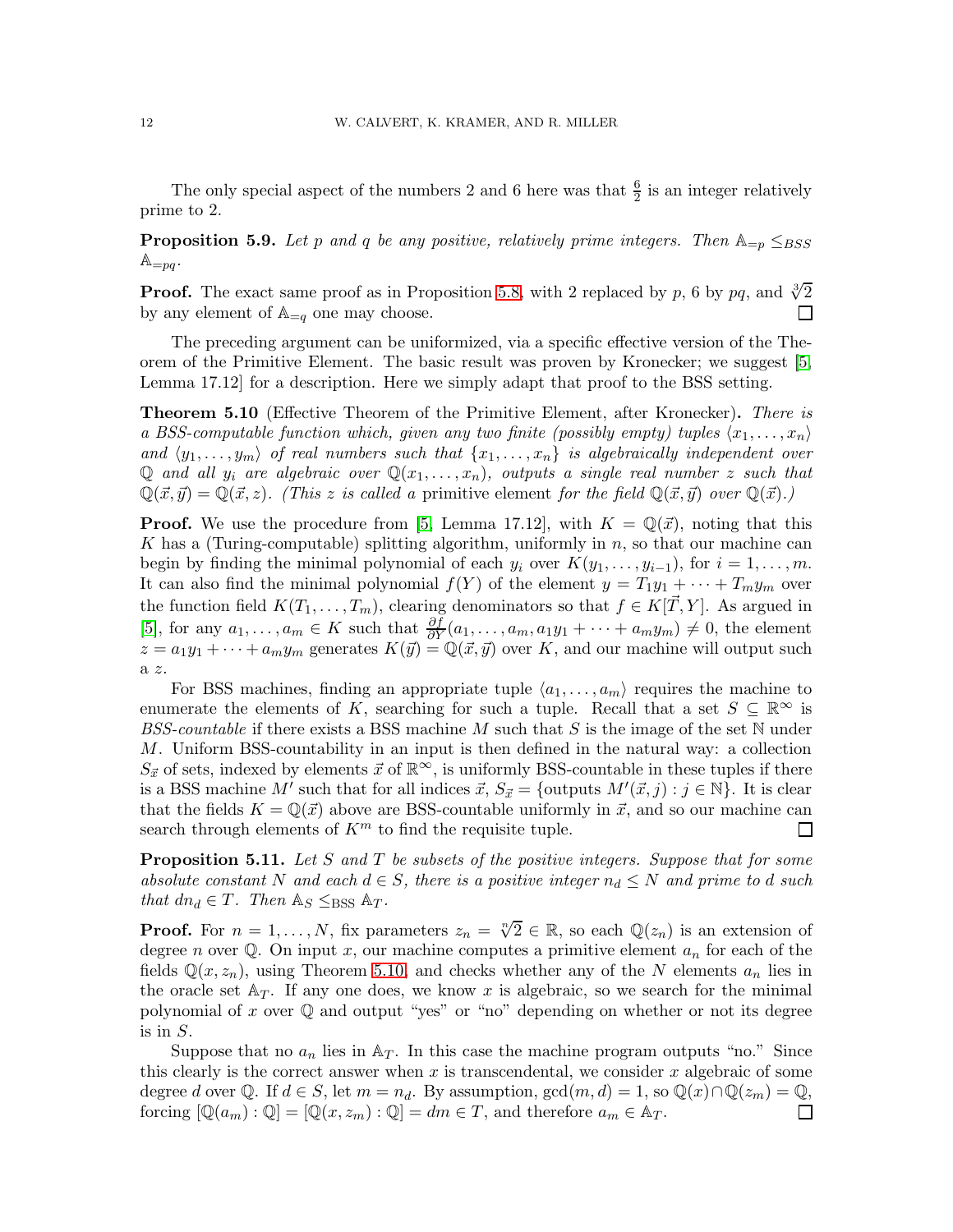The only special aspect of the numbers 2 and 6 here was that  $\frac{6}{2}$  is an integer relatively prime to 2.

**Proposition 5.9.** Let p and q be any positive, relatively prime integers. Then  $\mathbb{A}_{=p} \leq_{BSS}$  $\mathbb{A}_{=pq}$ .

**Proof.** The exact same proof as in Proposition [5.8,](#page-10-2) with 2 replaced by p, 6 by pq, and  $\sqrt[3]{2}$ by any element of  $\mathbb{A}_{=q}$  one may choose. П

The preceding argument can be uniformized, via a specific effective version of the Theorem of the Primitive Element. The basic result was proven by Kronecker; we suggest [\[5,](#page-19-4) Lemma 17.12] for a description. Here we simply adapt that proof to the BSS setting.

<span id="page-11-0"></span>Theorem 5.10 (Effective Theorem of the Primitive Element, after Kronecker). There is a BSS-computable function which, given any two finite (possibly empty) tuples  $\langle x_1, \ldots, x_n \rangle$ and  $\langle y_1, \ldots, y_m \rangle$  of real numbers such that  $\{x_1, \ldots, x_n\}$  is algebraically independent over Q and all  $y_i$  are algebraic over  $\mathbb{Q}(x_1, \ldots, x_n)$ , outputs a single real number z such that  $\mathbb{Q}(\vec{x}, \vec{y}) = \mathbb{Q}(\vec{x}, z)$ . (This z is called a primitive element for the field  $\mathbb{Q}(\vec{x}, \vec{y})$  over  $\mathbb{Q}(\vec{x})$ .)

**Proof.** We use the procedure from [\[5,](#page-19-4) Lemma 17.12], with  $K = \mathbb{Q}(\vec{x})$ , noting that this K has a (Turing-computable) splitting algorithm, uniformly in  $n$ , so that our machine can begin by finding the minimal polynomial of each  $y_i$  over  $K(y_1, \ldots, y_{i-1})$ , for  $i = 1, \ldots, m$ . It can also find the minimal polynomial  $f(Y)$  of the element  $y = T_1y_1 + \cdots + T_my_m$  over the function field  $K(T_1, \ldots, T_m)$ , clearing denominators so that  $f \in K[\vec{T}, Y]$ . As argued in [\[5\]](#page-19-4), for any  $a_1, \ldots, a_m \in K$  such that  $\frac{\partial f}{\partial Y}(a_1, \ldots, a_m, a_1y_1 + \cdots + a_my_m) \neq 0$ , the element  $z = a_1y_1 + \cdots + a_my_m$  generates  $K(\vec{y}) = \mathbb{Q}(\vec{x}, \vec{y})$  over K, and our machine will output such a z.

For BSS machines, finding an appropriate tuple  $\langle a_1, \ldots, a_m \rangle$  requires the machine to enumerate the elements of K, searching for such a tuple. Recall that a set  $S \subseteq \mathbb{R}^{\infty}$  is BSS-countable if there exists a BSS machine M such that S is the image of the set  $\mathbb N$  under M. Uniform BSS-countability in an input is then defined in the natural way: a collection  $S_{\vec{x}}$  of sets, indexed by elements  $\vec{x}$  of  $\mathbb{R}^{\infty}$ , is uniformly BSS-countable in these tuples if there is a BSS machine M' such that for all indices  $\vec{x}, S_{\vec{x}} = \{\text{outputs } M'(\vec{x}, j) : j \in \mathbb{N}\}\.$  It is clear that the fields  $K = \mathbb{Q}(\vec{x})$  above are BSS-countable uniformly in  $\vec{x}$ , and so our machine can search through elements of  $K<sup>m</sup>$  to find the requisite tuple.  $\Box$ 

<span id="page-11-1"></span>**Proposition 5.11.** Let S and T be subsets of the positive integers. Suppose that for some absolute constant N and each  $d \in S$ , there is a positive integer  $n_d \leq N$  and prime to d such that  $dn_d \in T$ . Then  $\mathbb{A}_S \leq_{BSS} \mathbb{A}_T$ .

**Proof.** For  $n = 1, ..., N$ , fix parameters  $z_n = \sqrt[n]{2} \in \mathbb{R}$ , so each  $\mathbb{Q}(z_n)$  is an extension of degree n over  $\mathbb Q$ . On input x, our machine computes a primitive element  $a_n$  for each of the fields  $\mathbb{Q}(x, z_n)$ , using Theorem [5.10,](#page-11-0) and checks whether any of the N elements  $a_n$  lies in the oracle set  $A_T$ . If any one does, we know x is algebraic, so we search for the minimal polynomial of x over  $\mathbb Q$  and output "yes" or "no" depending on whether or not its degree is in  $S$ .

Suppose that no  $a_n$  lies in  $A_T$ . In this case the machine program outputs "no." Since this clearly is the correct answer when  $x$  is transcendental, we consider  $x$  algebraic of some degree d over Q. If  $d \in S$ , let  $m = n_d$ . By assumption,  $gcd(m, d) = 1$ , so  $\mathbb{Q}(x) \cap \mathbb{Q}(z_m) = \mathbb{Q}$ , forcing  $[\mathbb{Q}(a_m) : \mathbb{Q}] = [\mathbb{Q}(x, z_m) : \mathbb{Q}] = dm \in T$ , and therefore  $a_m \in \mathbb{A}_T$ . forcing  $[\mathbb{Q}(a_m) : \mathbb{Q}] = [\mathbb{Q}(x, z_m) : \mathbb{Q}] = dm \in T$ , and therefore  $a_m \in \mathbb{A}_T$ .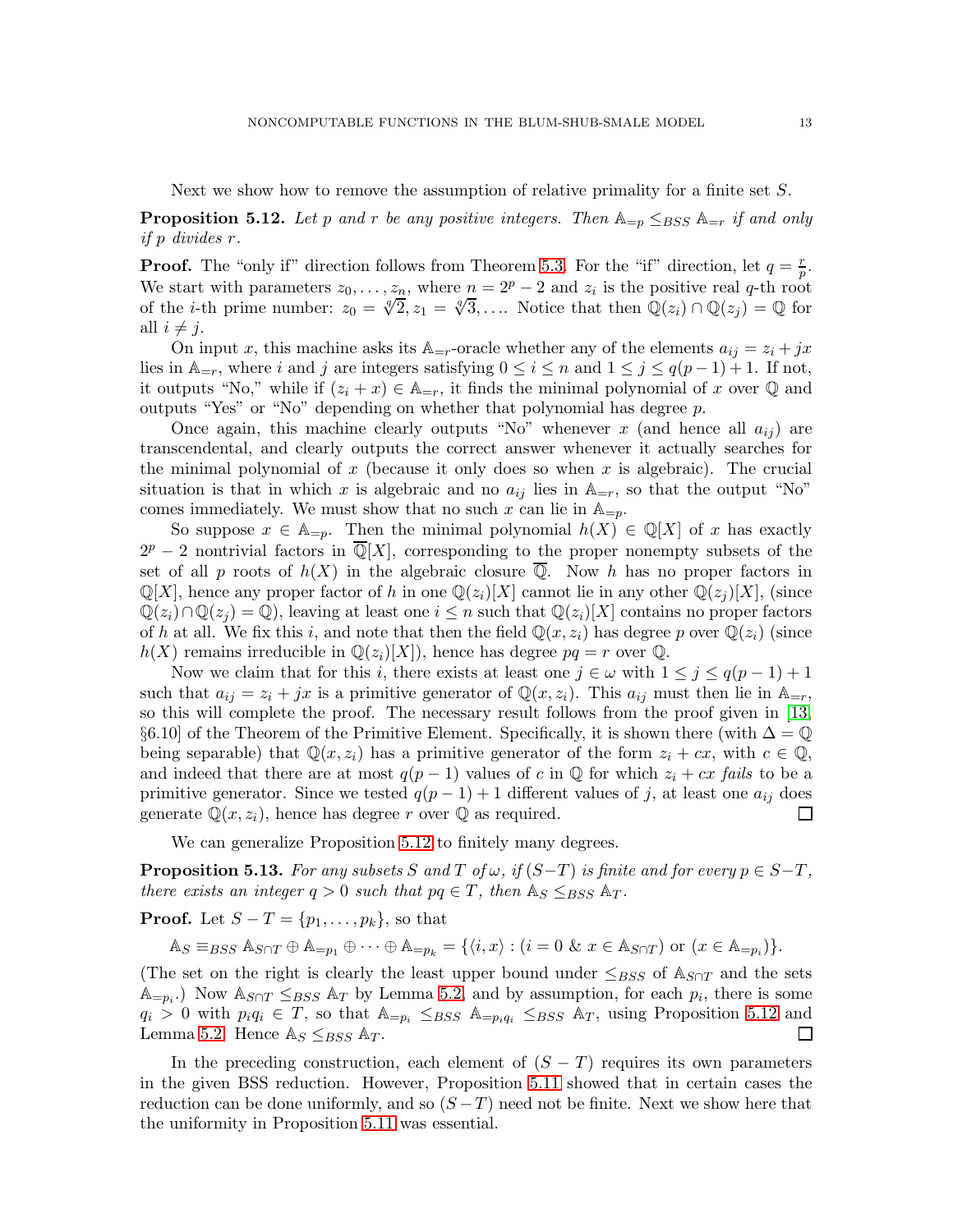Next we show how to remove the assumption of relative primality for a finite set S.

<span id="page-12-0"></span>**Proposition 5.12.** Let p and r be any positive integers. Then  $\mathbb{A}_{=p} \leq_{BSS} \mathbb{A}_{=r}$  if and only if p divides r.

**Proof.** The "only if" direction follows from Theorem [5.3.](#page-8-2) For the "if" direction, let  $q = \frac{r}{n}$  $\frac{r}{p}.$ We start with parameters  $z_0, \ldots, z_n$ , where  $n = 2^p - 2$  and  $z_i$  is the positive real q-th root of the *i*-th prime number:  $z_0 = \sqrt[q]{2}, z_1 = \sqrt[q]{3}, ...$  Notice that then  $\mathbb{Q}(z_i) \cap \mathbb{Q}(z_j) = \mathbb{Q}$  for all  $i \neq j$ .

On input x, this machine asks its  $\mathbb{A}_{=r}$ -oracle whether any of the elements  $a_{ij} = z_i + jx$ lies in  $\mathbb{A}_{r}$ , where i and j are integers satisfying  $0 \leq i \leq n$  and  $1 \leq j \leq q(p-1)+1$ . If not, it outputs "No," while if  $(z_i + x) \in A_{r}$ , it finds the minimal polynomial of x over Q and outputs "Yes" or "No" depending on whether that polynomial has degree p.

Once again, this machine clearly outputs "No" whenever x (and hence all  $a_{ij}$ ) are transcendental, and clearly outputs the correct answer whenever it actually searches for the minimal polynomial of  $x$  (because it only does so when  $x$  is algebraic). The crucial situation is that in which x is algebraic and no  $a_{ij}$  lies in  $\mathbb{A}_{=r}$ , so that the output "No" comes immediately. We must show that no such x can lie in  $\mathbb{A}_{p}$ .

So suppose  $x \in \mathbb{A}_{p}$ . Then the minimal polynomial  $h(X) \in \mathbb{Q}[X]$  of x has exactly  $2^p - 2$  nontrivial factors in  $\overline{\mathbb{Q}}[X]$ , corresponding to the proper nonempty subsets of the set of all p roots of  $h(X)$  in the algebraic closure  $\overline{Q}$ . Now h has no proper factors in  $\mathbb{Q}[X]$ , hence any proper factor of h in one  $\mathbb{Q}(z_i)[X]$  cannot lie in any other  $\mathbb{Q}(z_i)[X]$ , (since  $\mathbb{Q}(z_i)\cap\mathbb{Q}(z_i)=\mathbb{Q}$ , leaving at least one  $i\leq n$  such that  $\mathbb{Q}(z_i)[X]$  contains no proper factors of h at all. We fix this i, and note that then the field  $\mathbb{Q}(x, z_i)$  has degree p over  $\mathbb{Q}(z_i)$  (since  $h(X)$  remains irreducible in  $\mathbb{Q}(z_i)[X]$ , hence has degree  $pq = r$  over  $\mathbb{Q}$ .

Now we claim that for this i, there exists at least one  $j \in \omega$  with  $1 \leq j \leq q(p-1)+1$ such that  $a_{ij} = z_i + jx$  is a primitive generator of  $\mathbb{Q}(x, z_i)$ . This  $a_{ij}$  must then lie in  $\mathbb{A}_{=r}$ , so this will complete the proof. The necessary result follows from the proof given in [\[13,](#page-19-3) §6.10] of the Theorem of the Primitive Element. Specifically, it is shown there (with  $\Delta = \mathbb{Q}$ being separable) that  $\mathbb{Q}(x, z_i)$  has a primitive generator of the form  $z_i + cx$ , with  $c \in \mathbb{Q}$ , and indeed that there are at most  $q(p-1)$  values of c in Q for which  $z_i + cx$  fails to be a primitive generator. Since we tested  $q(p-1) + 1$  different values of j, at least one  $a_{ij}$  does generate  $\mathbb{Q}(x, z_i)$ , hence has degree r over  $\mathbb{Q}$  as required. generate  $\mathbb{Q}(x, z_i)$ , hence has degree r over  $\mathbb{Q}$  as required.

We can generalize Proposition [5.12](#page-12-0) to finitely many degrees.

**Proposition 5.13.** For any subsets S and T of  $\omega$ , if  $(S-T)$  is finite and for every  $p \in S-T$ , there exists an integer  $q > 0$  such that  $pq \in T$ , then  $\mathbb{A}_S \leq_{BSS} \mathbb{A}_T$ .

**Proof.** Let  $S - T = \{p_1, \ldots, p_k\}$ , so that

 $\mathbb{A}_S \equiv_{BSS} \mathbb{A}_{S \cap T} \oplus \mathbb{A}_{=p_1} \oplus \cdots \oplus \mathbb{A}_{=p_k} = \{ \langle i, x \rangle : (i = 0 \& x \in \mathbb{A}_{S \cap T}) \text{ or } (x \in \mathbb{A}_{=p_i}) \}.$ 

(The set on the right is clearly the least upper bound under  $\leq_{BSS}$  of  $\mathbb{A}_{S\cap T}$  and the sets  $\mathbb{A}_{=p_i}$ .) Now  $\mathbb{A}_{S \cap T} \leq_{BSS} \mathbb{A}_T$  by Lemma [5.2,](#page-8-0) and by assumption, for each  $p_i$ , there is some  $q_i > 0$  with  $p_i q_i \in T$ , so that  $\mathbb{A}_{=p_i} \leq_{BSS} \mathbb{A}_{=p_i q_i} \leq_{BSS} \mathbb{A}_T$ , using Proposition [5.12](#page-12-0) and Lemma 5.2. Hence  $\mathbb{A}_S \leq_{BSS} \mathbb{A}_T$ . Lemma [5.2.](#page-8-0) Hence  $\mathbb{A}_S \leq_{BSS} \mathbb{A}_T$ .

In the preceding construction, each element of  $(S - T)$  requires its own parameters in the given BSS reduction. However, Proposition [5.11](#page-11-1) showed that in certain cases the reduction can be done uniformly, and so  $(S-T)$  need not be finite. Next we show here that the uniformity in Proposition [5.11](#page-11-1) was essential.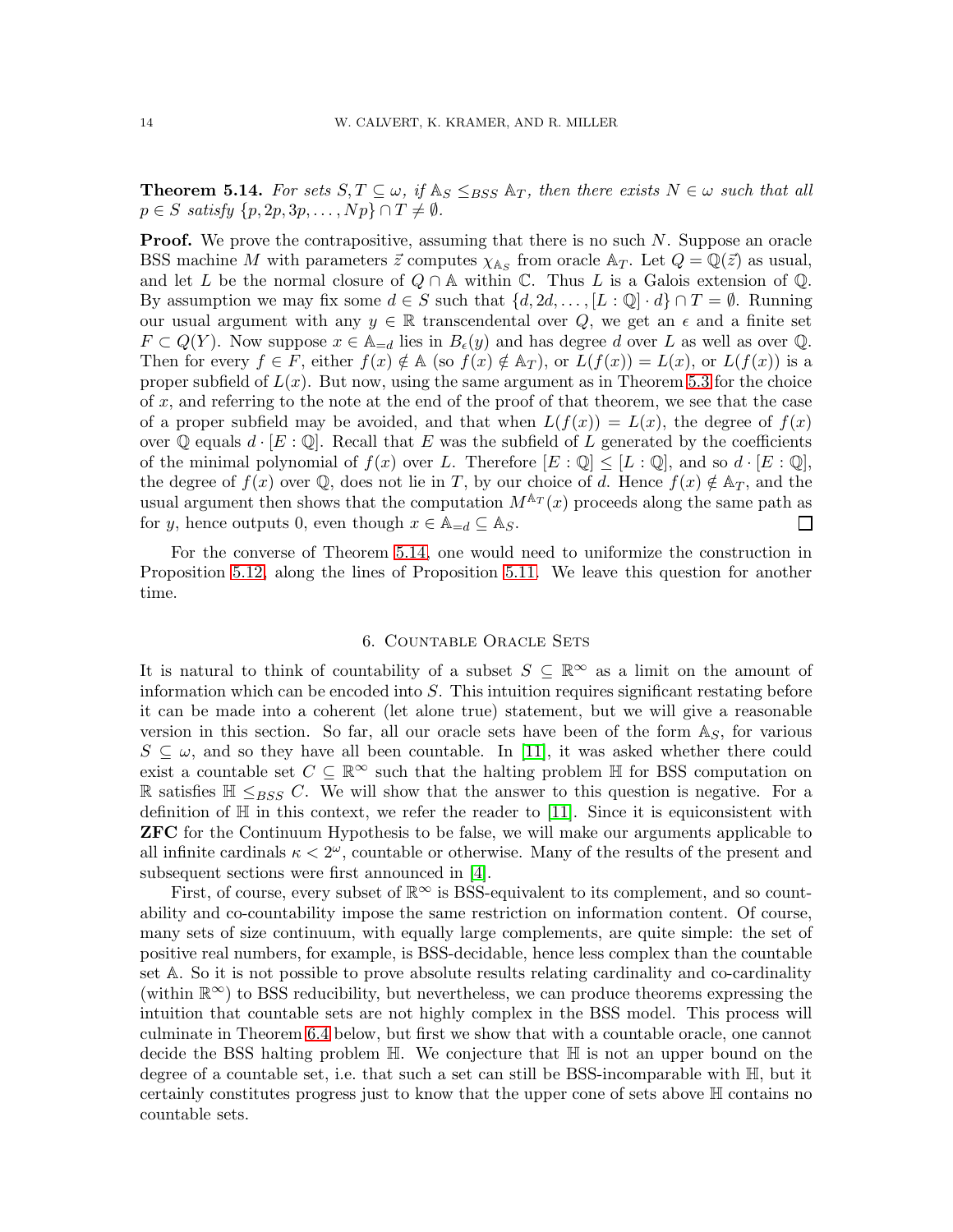<span id="page-13-1"></span>**Theorem 5.14.** For sets  $S, T \subseteq \omega$ , if  $\mathbb{A}_S \leq_{BSS} \mathbb{A}_T$ , then there exists  $N \in \omega$  such that all  $p \in S$  satisfy  $\{p, 2p, 3p, \ldots, Np\} \cap T \neq \emptyset$ .

**Proof.** We prove the contrapositive, assuming that there is no such  $N$ . Suppose an oracle BSS machine M with parameters  $\vec{z}$  computes  $\chi_{\mathbb{A}_S}$  from oracle  $\mathbb{A}_T$ . Let  $Q = \mathbb{Q}(\vec{z})$  as usual, and let L be the normal closure of  $Q \cap A$  within C. Thus L is a Galois extension of Q. By assumption we may fix some  $d \in S$  such that  $\{d, 2d, \ldots, [L : \mathbb{Q}] \cdot d\} \cap T = \emptyset$ . Running our usual argument with any  $y \in \mathbb{R}$  transcendental over Q, we get an  $\epsilon$  and a finite set  $F \subset Q(Y)$ . Now suppose  $x \in A_{=d}$  lies in  $B_{\epsilon}(y)$  and has degree d over L as well as over Q. Then for every  $f \in F$ , either  $f(x) \notin A$  (so  $f(x) \notin A_T$ ), or  $L(f(x)) = L(x)$ , or  $L(f(x))$  is a proper subfield of  $L(x)$ . But now, using the same argument as in Theorem [5.3](#page-8-2) for the choice of  $x$ , and referring to the note at the end of the proof of that theorem, we see that the case of a proper subfield may be avoided, and that when  $L(f(x)) = L(x)$ , the degree of  $f(x)$ over  $\mathbb Q$  equals  $d \cdot [E : \mathbb Q]$ . Recall that E was the subfield of L generated by the coefficients of the minimal polynomial of  $f(x)$  over L. Therefore  $[E:\mathbb{Q}] \leq [L:\mathbb{Q}]$ , and so  $d \cdot [E:\mathbb{Q}]$ , the degree of  $f(x)$  over Q, does not lie in T, by our choice of d. Hence  $f(x) \notin A_T$ , and the usual argument then shows that the computation  $M^{A_T}(x)$  proceeds along the same path as for y, hence outputs 0, even though  $x \in \mathbb{A}_{=d} \subseteq \mathbb{A}_S$ .  $\Box$ 

For the converse of Theorem [5.14,](#page-13-1) one would need to uniformize the construction in Proposition [5.12,](#page-12-0) along the lines of Proposition [5.11.](#page-11-1) We leave this question for another time.

#### 6. Countable Oracle Sets

<span id="page-13-0"></span>It is natural to think of countability of a subset  $S \subseteq \mathbb{R}^{\infty}$  as a limit on the amount of information which can be encoded into  $S$ . This intuition requires significant restating before it can be made into a coherent (let alone true) statement, but we will give a reasonable version in this section. So far, all our oracle sets have been of the form  $\mathbb{A}_S$ , for various  $S \subseteq \omega$ , and so they have all been countable. In [\[11\]](#page-19-2), it was asked whether there could exist a countable set  $C \subseteq \mathbb{R}^{\infty}$  such that the halting problem H for BSS computation on R satisfies  $\mathbb{H} \leq_{BSS} C$ . We will show that the answer to this question is negative. For a definition of  $\mathbb H$  in this context, we refer the reader to [\[11\]](#page-19-2). Since it is equiconsistent with ZFC for the Continuum Hypothesis to be false, we will make our arguments applicable to all infinite cardinals  $\kappa < 2^{\omega}$ , countable or otherwise. Many of the results of the present and subsequent sections were first announced in [\[4\]](#page-19-0).

First, of course, every subset of  $\mathbb{R}^{\infty}$  is BSS-equivalent to its complement, and so countability and co-countability impose the same restriction on information content. Of course, many sets of size continuum, with equally large complements, are quite simple: the set of positive real numbers, for example, is BSS-decidable, hence less complex than the countable set A. So it is not possible to prove absolute results relating cardinality and co-cardinality (within  $\mathbb{R}^{\infty}$ ) to BSS reducibility, but nevertheless, we can produce theorems expressing the intuition that countable sets are not highly complex in the BSS model. This process will culminate in Theorem [6.4](#page-15-0) below, but first we show that with a countable oracle, one cannot decide the BSS halting problem  $\mathbb{H}$ . We conjecture that  $\mathbb{H}$  is not an upper bound on the degree of a countable set, i.e. that such a set can still be BSS-incomparable with H, but it certainly constitutes progress just to know that the upper cone of sets above H contains no countable sets.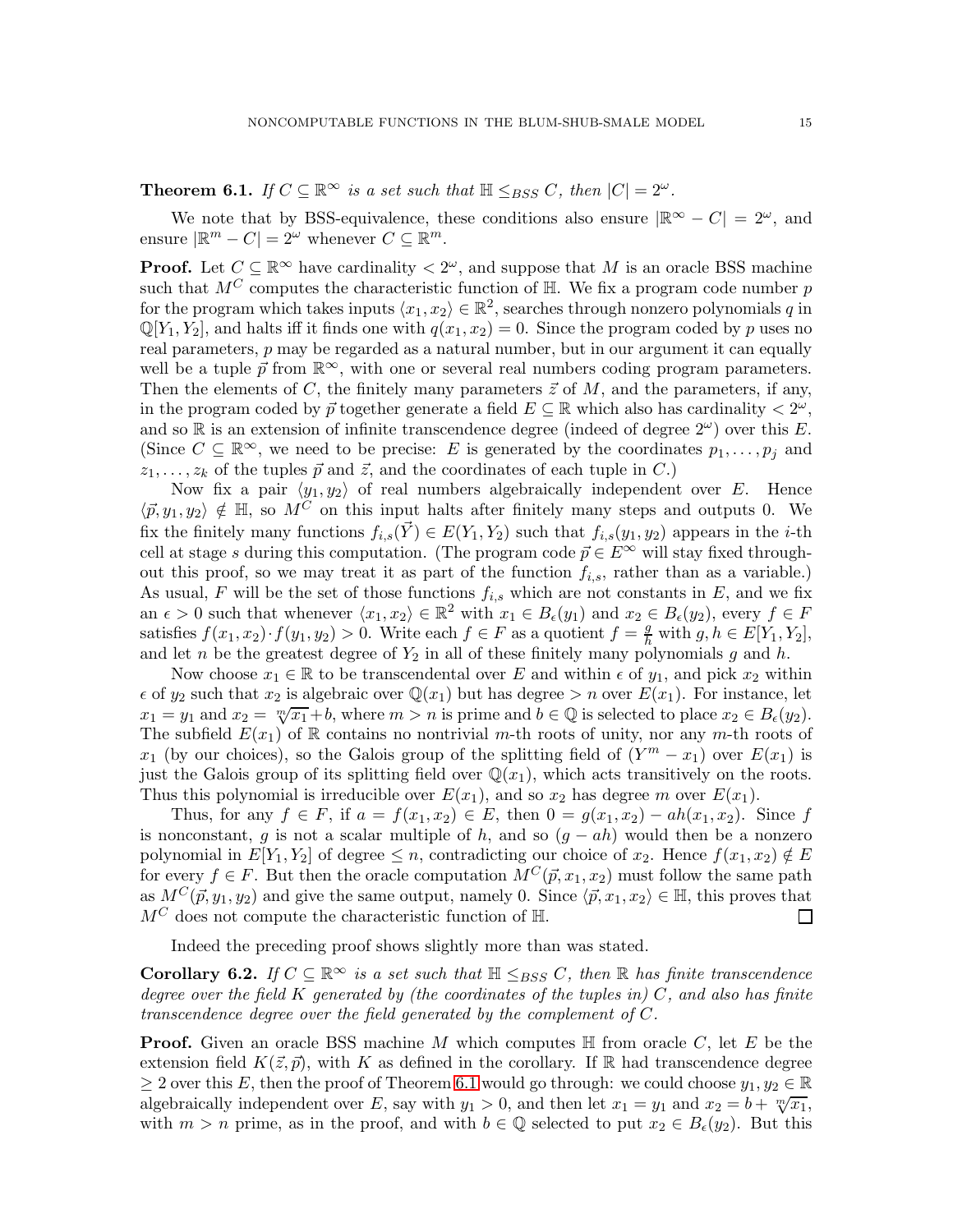# <span id="page-14-0"></span>**Theorem 6.1.** If  $C \subseteq \mathbb{R}^{\infty}$  is a set such that  $\mathbb{H} \leq_{BSS} C$ , then  $|C| = 2^{\omega}$ .

We note that by BSS-equivalence, these conditions also ensure  $|\mathbb{R}^{\infty} - C| = 2^{\omega}$ , and ensure  $|\mathbb{R}^m - C| = 2^{\omega}$  whenever  $C \subseteq \mathbb{R}^m$ .

**Proof.** Let  $C \subseteq \mathbb{R}^{\infty}$  have cardinality  $\langle 2^{\omega} \rangle$ , and suppose that M is an oracle BSS machine such that  $M^C$  computes the characteristic function of  $\mathbb H$ . We fix a program code number  $p$ for the program which takes inputs  $\langle x_1, x_2 \rangle \in \mathbb{R}^2$ , searches through nonzero polynomials q in  $\mathbb{Q}[Y_1, Y_2]$ , and halts iff it finds one with  $q(x_1, x_2) = 0$ . Since the program coded by p uses no real parameters,  $p$  may be regarded as a natural number, but in our argument it can equally well be a tuple  $\vec{p}$  from  $\mathbb{R}^{\infty}$ , with one or several real numbers coding program parameters. Then the elements of C, the finitely many parameters  $\vec{z}$  of M, and the parameters, if any, in the program coded by  $\vec{p}$  together generate a field  $E \subseteq \mathbb{R}$  which also has cardinality  $\langle 2^{\omega}, \rangle$ and so R is an extension of infinite transcendence degree (indeed of degree  $2^{\omega}$ ) over this E. (Since  $C \subseteq \mathbb{R}^{\infty}$ , we need to be precise: E is generated by the coordinates  $p_1, \ldots, p_j$  and  $z_1, \ldots, z_k$  of the tuples  $\vec{p}$  and  $\vec{z}$ , and the coordinates of each tuple in C.)

Now fix a pair  $\langle y_1, y_2 \rangle$  of real numbers algebraically independent over E. Hence  $\langle \vec{p}, y_1, y_2 \rangle \notin \mathbb{H}$ , so  $M^C$  on this input halts after finitely many steps and outputs 0. We fix the finitely many functions  $f_{i,s}(\vec{Y}) \in E(Y_1, Y_2)$  such that  $f_{i,s}(y_1, y_2)$  appears in the *i*-th cell at stage s during this computation. (The program code  $\vec{p} \in E^{\infty}$  will stay fixed throughout this proof, so we may treat it as part of the function  $f_{i,s}$ , rather than as a variable.) As usual, F will be the set of those functions  $f_{i,s}$  which are not constants in E, and we fix an  $\epsilon > 0$  such that whenever  $\langle x_1, x_2 \rangle \in \mathbb{R}^2$  with  $x_1 \in B_{\epsilon}(y_1)$  and  $x_2 \in B_{\epsilon}(y_2)$ , every  $f \in F$ satisfies  $f(x_1, x_2) \cdot f(y_1, y_2) > 0$ . Write each  $f \in F$  as a quotient  $f = \frac{g}{h}$  with  $g, h \in E[Y_1, Y_2]$ , and let n be the greatest degree of  $Y_2$  in all of these finitely many polynomials g and h.

Now choose  $x_1 \in \mathbb{R}$  to be transcendental over E and within  $\epsilon$  of  $y_1$ , and pick  $x_2$  within  $\epsilon$  of  $y_2$  such that  $x_2$  is algebraic over  $\mathbb{Q}(x_1)$  but has degree  $>n$  over  $E(x_1)$ . For instance, let  $x_1 = y_1$  and  $x_2 = \sqrt[m]{x_1 + b}$ , where  $m > n$  is prime and  $b \in \mathbb{Q}$  is selected to place  $x_2 \in B_{\epsilon}(y_2)$ . The subfield  $E(x_1)$  of R contains no nontrivial m-th roots of unity, nor any m-th roots of  $x_1$  (by our choices), so the Galois group of the splitting field of  $(Y^m - x_1)$  over  $E(x_1)$  is just the Galois group of its splitting field over  $\mathbb{Q}(x_1)$ , which acts transitively on the roots. Thus this polynomial is irreducible over  $E(x_1)$ , and so  $x_2$  has degree m over  $E(x_1)$ .

Thus, for any  $f \in F$ , if  $a = f(x_1, x_2) \in E$ , then  $0 = g(x_1, x_2) - ah(x_1, x_2)$ . Since f is nonconstant, g is not a scalar multiple of h, and so  $(g - ah)$  would then be a nonzero polynomial in  $E[Y_1, Y_2]$  of degree  $\leq n$ , contradicting our choice of  $x_2$ . Hence  $f(x_1, x_2) \notin E$ for every  $f \in F$ . But then the oracle computation  $M^C(\vec{p}, x_1, x_2)$  must follow the same path as  $M^C(\vec{p}, y_1, y_2)$  and give the same output, namely 0. Since  $\langle \vec{p}, x_1, x_2 \rangle \in \mathbb{H}$ , this proves that  $M^C$  does not compute the characteristic function of  $\mathbb{H}$ .  $M^C$  does not compute the characteristic function of  $\mathbb{H}$ .

Indeed the preceding proof shows slightly more than was stated.

<span id="page-14-1"></span>Corollary 6.2. If  $C \subseteq \mathbb{R}^{\infty}$  is a set such that  $\mathbb{H} \leq_{BSS} C$ , then  $\mathbb{R}$  has finite transcendence degree over the field K generated by (the coordinates of the tuples in)  $C$ , and also has finite transcendence degree over the field generated by the complement of C.

**Proof.** Given an oracle BSS machine M which computes  $\mathbb{H}$  from oracle C, let E be the extension field  $K(\vec{z}, \vec{p})$ , with K as defined in the corollary. If R had transcendence degree  $\geq 2$  over this E, then the proof of Theorem [6.1](#page-14-0) would go through: we could choose  $y_1, y_2 \in \mathbb{R}$ algebraically independent over E, say with  $y_1 > 0$ , and then let  $x_1 = y_1$  and  $x_2 = b + \sqrt[m]{x_1}$ , with  $m > n$  prime, as in the proof, and with  $b \in \mathbb{Q}$  selected to put  $x_2 \in B_{\epsilon}(y_2)$ . But this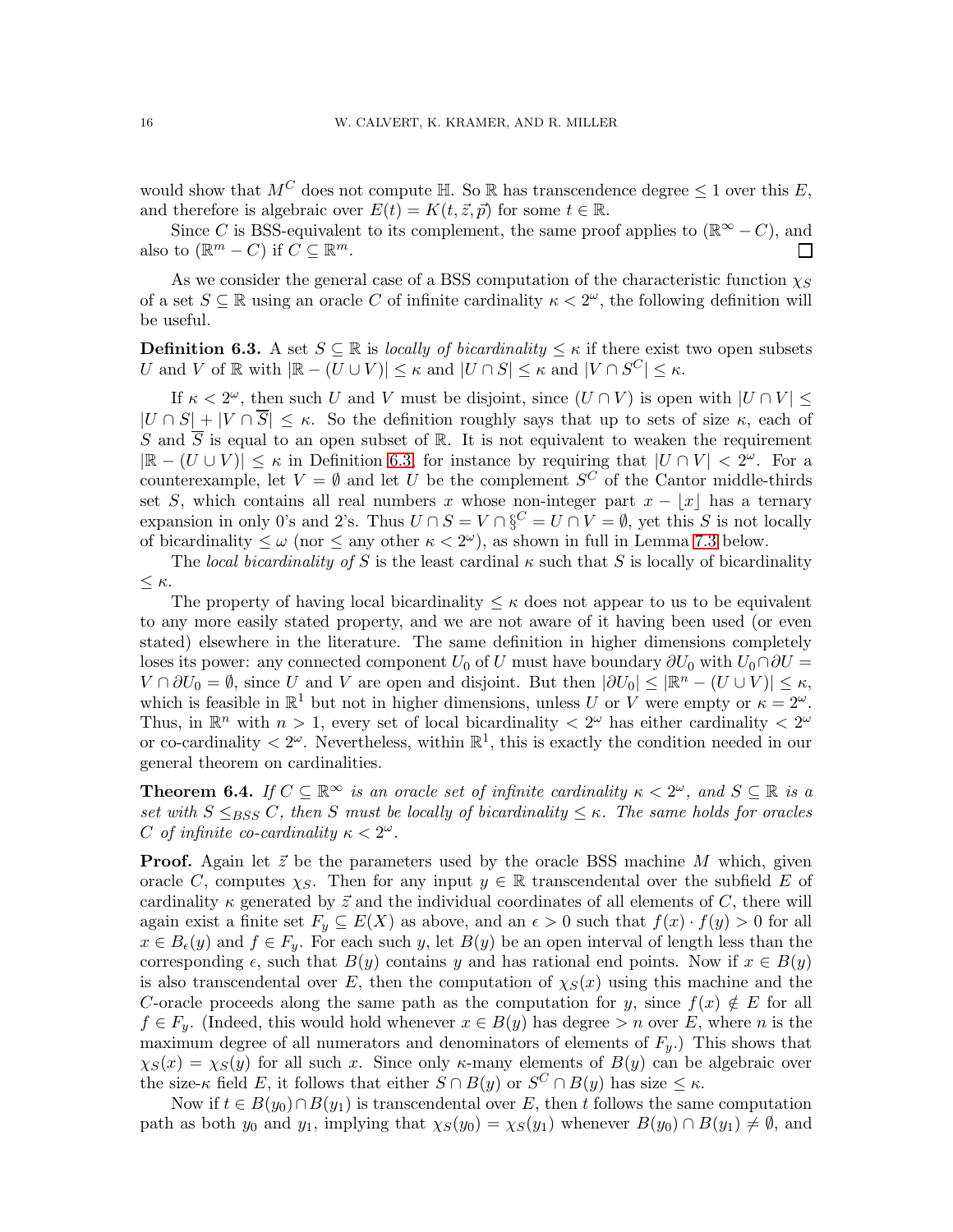would show that  $M^C$  does not compute H. So R has transcendence degree  $\leq 1$  over this E, and therefore is algebraic over  $E(t) = K(t, \vec{z}, \vec{p})$  for some  $t \in \mathbb{R}$ .

Since C is BSS-equivalent to its complement, the same proof applies to ( $\mathbb{R}^{\infty} - C$ ), and to  $(\mathbb{R}^m - C)$  if  $C \subseteq \mathbb{R}^m$ . also to  $(\mathbb{R}^m - C)$  if  $C \subseteq \mathbb{R}^m$ .

As we consider the general case of a BSS computation of the characteristic function  $\chi_S$ of a set  $S \subseteq \mathbb{R}$  using an oracle C of infinite cardinality  $\kappa < 2^{\omega}$ , the following definition will be useful.

<span id="page-15-1"></span>**Definition 6.3.** A set  $S \subseteq \mathbb{R}$  is locally of bicardinality  $\leq \kappa$  if there exist two open subsets U and V of  $\mathbb R$  with  $|\mathbb{R} - (U \cup V)| \leq \kappa$  and  $|U \cap S| \leq \kappa$  and  $|V \cap S^C| \leq \kappa$ .

If  $\kappa < 2^{\omega}$ , then such U and V must be disjoint, since  $(U \cap V)$  is open with  $|U \cap V| \le$  $|U \cap S| + |V \cap \overline{S}| \leq \kappa$ . So the definition roughly says that up to sets of size  $\kappa$ , each of S and  $\overline{S}$  is equal to an open subset of R. It is not equivalent to weaken the requirement  $|\mathbb{R} - (U \cup V)| \leq \kappa$  in Definition [6.3,](#page-15-1) for instance by requiring that  $|U \cap V| < 2^{\omega}$ . For a counterexample, let  $V = \emptyset$  and let U be the complement  $S^C$  of the Cantor middle-thirds set S, which contains all real numbers x whose non-integer part  $x - |x|$  has a ternary expansion in only 0's and 2's. Thus  $U \cap S = V \cap \S^C = U \cap V = \emptyset$ , yet this S is not locally of bicardinality  $\leq \omega$  (nor  $\leq$  any other  $\kappa < 2^{\omega}$ ), as shown in full in Lemma [7.3](#page-17-0) below.

The local bicardinality of S is the least cardinal  $\kappa$  such that S is locally of bicardinality  $\leq \kappa$ .

The property of having local bicardinality  $\leq \kappa$  does not appear to us to be equivalent to any more easily stated property, and we are not aware of it having been used (or even stated) elsewhere in the literature. The same definition in higher dimensions completely loses its power: any connected component  $U_0$  of U must have boundary  $\partial U_0$  with  $U_0 \cap \partial U =$  $V \cap \partial U_0 = \emptyset$ , since U and V are open and disjoint. But then  $|\partial U_0| \leq |\mathbb{R}^n - (U \cup V)| \leq \kappa$ , which is feasible in  $\mathbb{R}^1$  but not in higher dimensions, unless U or V were empty or  $\kappa = 2^{\omega}$ . Thus, in  $\mathbb{R}^n$  with  $n > 1$ , every set of local bicardinality  $\langle 2^{\omega} \rangle$  has either cardinality  $\langle 2^{\omega} \rangle$ or co-cardinality  $\langle 2^{\omega} \rangle$ . Nevertheless, within  $\mathbb{R}^1$ , this is exactly the condition needed in our general theorem on cardinalities.

<span id="page-15-0"></span>**Theorem 6.4.** If  $C \subseteq \mathbb{R}^{\infty}$  is an oracle set of infinite cardinality  $\kappa < 2^{\omega}$ , and  $S \subseteq \mathbb{R}$  is a set with  $S \leq_{BSS} C$ , then S must be locally of bicardinality  $\leq \kappa$ . The same holds for oracles C of infinite co-cardinality  $\kappa < 2^{\omega}$ .

**Proof.** Again let  $\vec{z}$  be the parameters used by the oracle BSS machine M which, given oracle C, computes  $\chi_S$ . Then for any input  $y \in \mathbb{R}$  transcendental over the subfield E of cardinality  $\kappa$  generated by  $\vec{z}$  and the individual coordinates of all elements of C, there will again exist a finite set  $F_y \subseteq E(X)$  as above, and an  $\epsilon > 0$  such that  $f(x) \cdot f(y) > 0$  for all  $x \in B_{\epsilon}(y)$  and  $f \in F_y$ . For each such y, let  $B(y)$  be an open interval of length less than the corresponding  $\epsilon$ , such that  $B(y)$  contains y and has rational end points. Now if  $x \in B(y)$ is also transcendental over E, then the computation of  $\chi_S(x)$  using this machine and the C-oracle proceeds along the same path as the computation for y, since  $f(x) \notin E$  for all  $f \in F_y$ . (Indeed, this would hold whenever  $x \in B(y)$  has degree  $> n$  over E, where n is the maximum degree of all numerators and denominators of elements of  $F_y$ .) This shows that  $\chi_S(x) = \chi_S(y)$  for all such x. Since only  $\kappa$ -many elements of  $B(y)$  can be algebraic over the size- $\kappa$  field E, it follows that either  $S \cap B(y)$  or  $S^C \cap B(y)$  has size  $\leq \kappa$ .

Now if  $t \in B(y_0) \cap B(y_1)$  is transcendental over E, then t follows the same computation path as both  $y_0$  and  $y_1$ , implying that  $\chi_S(y_0) = \chi_S(y_1)$  whenever  $B(y_0) \cap B(y_1) \neq \emptyset$ , and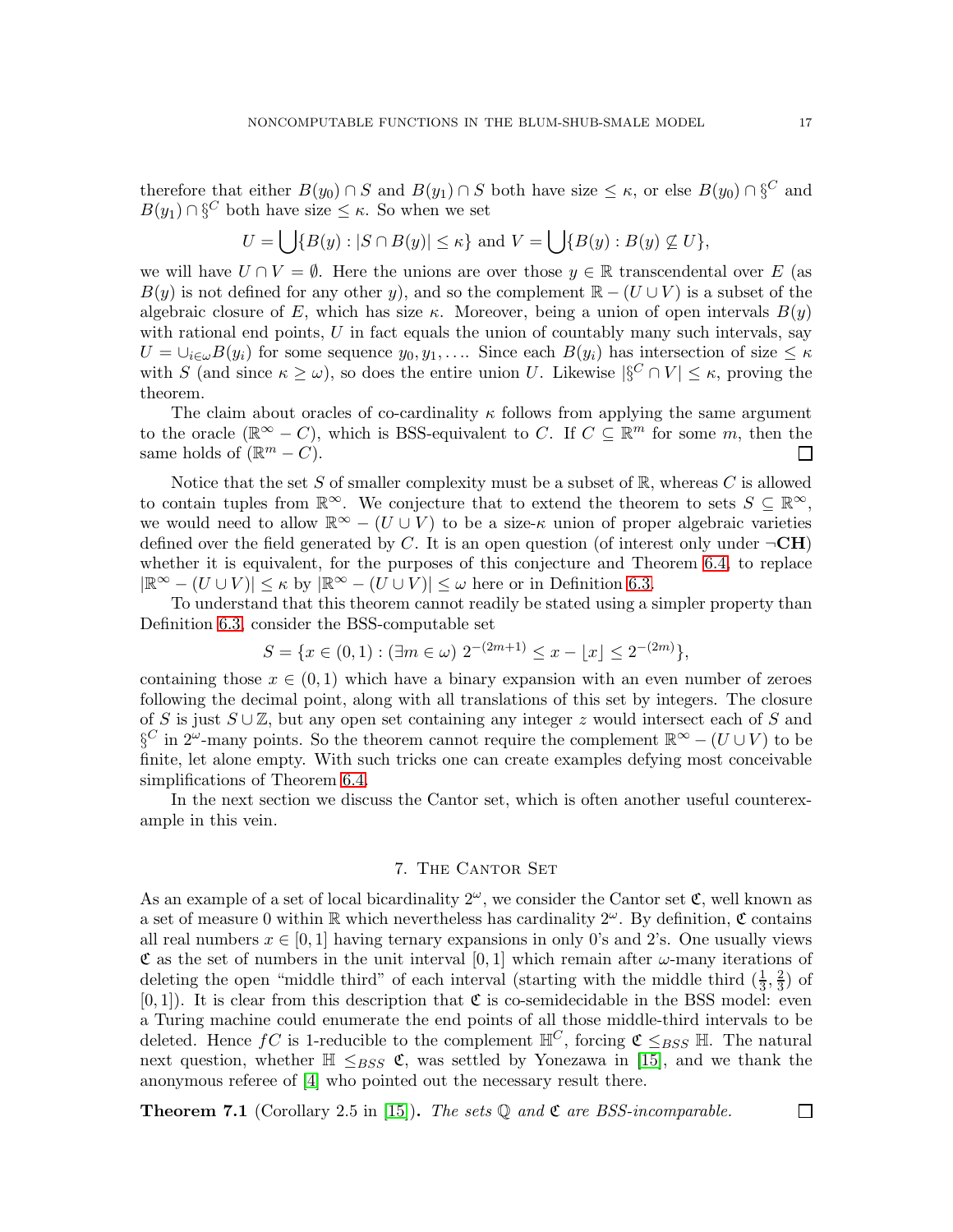therefore that either  $B(y_0) \cap S$  and  $B(y_1) \cap S$  both have size  $\leq \kappa$ , or else  $B(y_0) \cap \S^C$  and  $B(y_1) \cap \S^C$  both have size  $\leq \kappa$ . So when we set

$$
U = \bigcup \{ B(y) : |S \cap B(y)| \le \kappa \} \text{ and } V = \bigcup \{ B(y) : B(y) \not\subseteq U \},
$$

we will have  $U \cap V = \emptyset$ . Here the unions are over those  $y \in \mathbb{R}$  transcendental over E (as  $B(y)$  is not defined for any other y), and so the complement  $\mathbb{R} - (U \cup V)$  is a subset of the algebraic closure of E, which has size  $\kappa$ . Moreover, being a union of open intervals  $B(y)$ with rational end points,  $U$  in fact equals the union of countably many such intervals, say  $U = \bigcup_{i \in \omega} B(y_i)$  for some sequence  $y_0, y_1, \ldots$  Since each  $B(y_i)$  has intersection of size  $\leq \kappa$ with S (and since  $\kappa \geq \omega$ ), so does the entire union U. Likewise  $|\S^C \cap V| \leq \kappa$ , proving the theorem.

The claim about oracles of co-cardinality  $\kappa$  follows from applying the same argument to the oracle  $(\mathbb{R}^{\infty} - C)$ , which is BSS-equivalent to C. If  $C \subseteq \mathbb{R}^{m}$  for some m, then the same holds of  $(\mathbb{R}^m - C)$ .  $\Box$ 

Notice that the set S of smaller complexity must be a subset of  $\mathbb{R}$ , whereas C is allowed to contain tuples from  $\mathbb{R}^{\infty}$ . We conjecture that to extend the theorem to sets  $S \subseteq \mathbb{R}^{\infty}$ , we would need to allow  $\mathbb{R}^{\infty}$  –  $(U \cup V)$  to be a size- $\kappa$  union of proper algebraic varieties defined over the field generated by C. It is an open question (of interest only under  $\neg \mathbf{CH}$ ) whether it is equivalent, for the purposes of this conjecture and Theorem [6.4,](#page-15-0) to replace  $|\mathbb{R}^{\infty} - (U \cup V)| \leq \kappa$  by  $|\mathbb{R}^{\infty} - (U \cup V)| \leq \omega$  here or in Definition [6.3.](#page-15-1)

To understand that this theorem cannot readily be stated using a simpler property than Definition [6.3,](#page-15-1) consider the BSS-computable set

$$
S = \{ x \in (0,1) : (\exists m \in \omega) \; 2^{-(2m+1)} \le x - \lfloor x \rfloor \le 2^{-(2m)} \},
$$

containing those  $x \in (0,1)$  which have a binary expansion with an even number of zeroes following the decimal point, along with all translations of this set by integers. The closure of S is just  $S \cup \mathbb{Z}$ , but any open set containing any integer z would intersect each of S and  $\S^C$  in 2<sup>ω</sup>-many points. So the theorem cannot require the complement  $\mathbb{R}^{\infty} - (U \cup V)$  to be finite, let alone empty. With such tricks one can create examples defying most conceivable simplifications of Theorem [6.4.](#page-15-0)

In the next section we discuss the Cantor set, which is often another useful counterexample in this vein.

### 7. THE CANTOR SET

As an example of a set of local bicardinality  $2^{\omega}$ , we consider the Cantor set  $\mathfrak{C}$ , well known as a set of measure 0 within  $\mathbb R$  which nevertheless has cardinality  $2^{\omega}$ . By definition,  $\mathfrak C$  contains all real numbers  $x \in [0,1]$  having ternary expansions in only 0's and 2's. One usually views  $\mathfrak C$  as the set of numbers in the unit interval [0, 1] which remain after  $\omega$ -many iterations of deleting the open "middle third" of each interval (starting with the middle third  $(\frac{1}{3}, \frac{2}{3})$  $(\frac{2}{3})$  of  $[0, 1]$ . It is clear from this description that  $\mathfrak C$  is co-semidecidable in the BSS model: even a Turing machine could enumerate the end points of all those middle-third intervals to be deleted. Hence  $fC$  is 1-reducible to the complement  $\mathbb{H}^C$ , forcing  $\mathfrak{C} \leq_{BSS} \mathbb{H}$ . The natural next question, whether  $\mathbb{H} \leq_{BSS} \mathfrak{C}$ , was settled by Yonezawa in [\[15\]](#page-19-11), and we thank the anonymous referee of [\[4\]](#page-19-0) who pointed out the necessary result there.

<span id="page-16-0"></span>**Theorem 7.1** (Corollary 2.5 in [\[15\]](#page-19-11)). The sets  $\mathbb Q$  and  $\mathfrak C$  are BSS-incomparable.

 $\Box$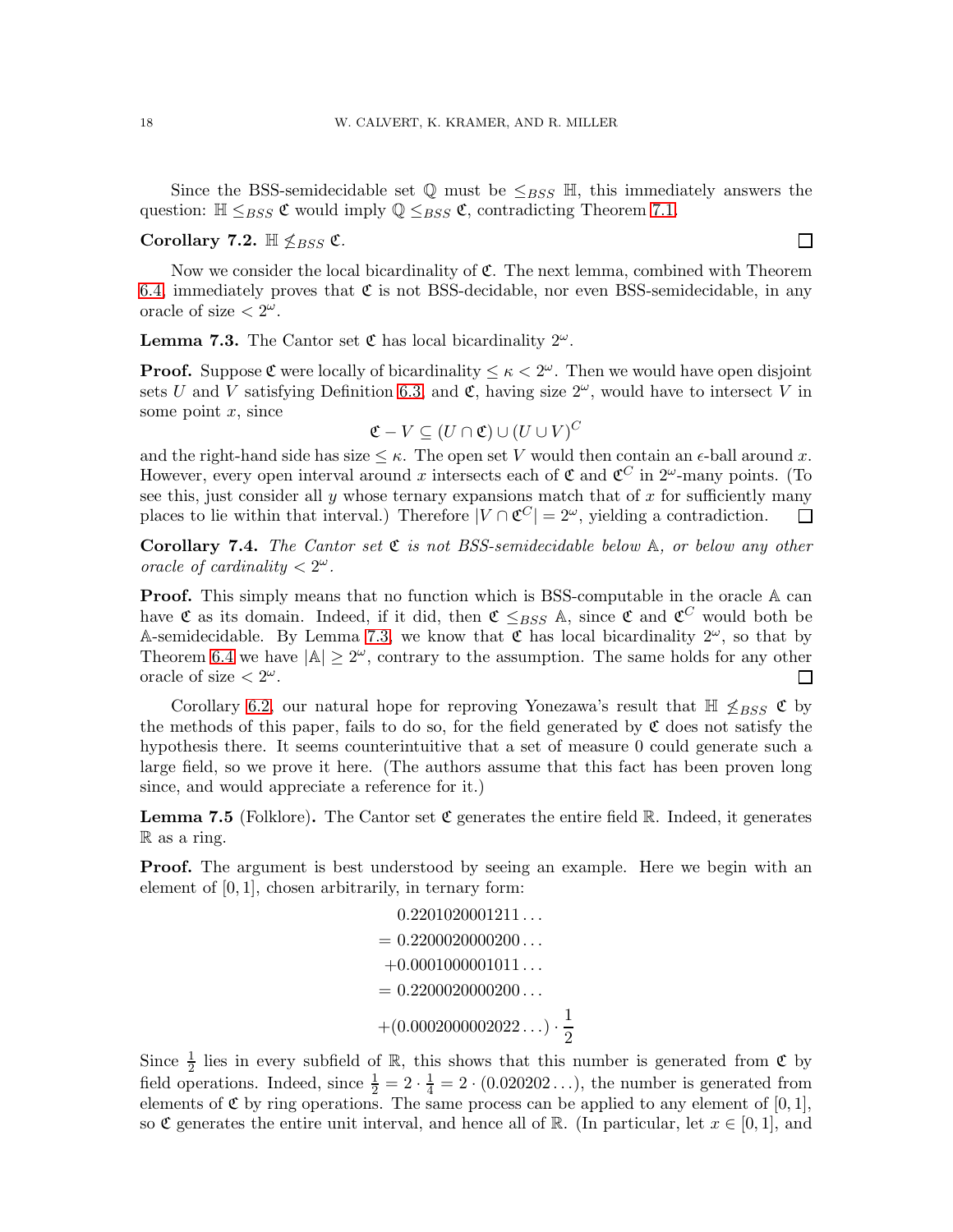Since the BSS-semidecidable set  $\mathbb Q$  must be  $\leq_{BSS} \mathbb H$ , this immediately answers the question:  $\mathbb{H} \leq_{BSS} \mathfrak{C}$  would imply  $\mathbb{Q} \leq_{BSS} \mathfrak{C}$ , contradicting Theorem [7.1.](#page-16-0)

## Corollary 7.2.  $\mathbb{H} \nleq_{BSS} \mathfrak{C}$ .

Now we consider the local bicardinality of  $\mathfrak{C}$ . The next lemma, combined with Theorem [6.4,](#page-15-0) immediately proves that  $\mathfrak C$  is not BSS-decidable, nor even BSS-semidecidable, in any oracle of size  $\langle 2^{\omega}.$ 

<span id="page-17-0"></span>**Lemma 7.3.** The Cantor set  $\mathfrak{C}$  has local bicardinality  $2^{\omega}$ .

**Proof.** Suppose  $\mathfrak{C}$  were locally of bicardinality  $\leq \kappa < 2^{\omega}$ . Then we would have open disjoint sets U and V satisfying Definition [6.3,](#page-15-1) and  $\mathfrak{C}$ , having size  $2^{\omega}$ , would have to intersect V in some point  $x$ , since

$$
\mathfrak{C} - V \subseteq (U \cap \mathfrak{C}) \cup (U \cup V)^C
$$

and the right-hand side has size  $\leq \kappa$ . The open set V would then contain an  $\epsilon$ -ball around x. However, every open interval around x intersects each of  $\mathfrak C$  and  $\mathfrak C^C$  in  $2^\omega$ -many points. (To see this, just consider all  $y$  whose ternary expansions match that of  $x$  for sufficiently many places to lie within that interval.) Therefore  $|V \cap \mathfrak{C}^C| = 2^{\omega}$ , yielding a contradiction.  $\Box$ 

**Corollary 7.4.** The Cantor set  $\mathfrak{C}$  is not BSS-semidecidable below  $\mathbb{A}$ , or below any other oracle of cardinality  $\langle 2^{\omega} \rangle$ .

**Proof.** This simply means that no function which is BSS-computable in the oracle A can have  $\mathfrak C$  as its domain. Indeed, if it did, then  $\mathfrak C \leq_{BSS} \mathbb A$ , since  $\mathfrak C$  and  $\mathfrak C^C$  would both be A-semidecidable. By Lemma [7.3,](#page-17-0) we know that  $\mathfrak C$  has local bicardinality  $2^\omega$ , so that by Theorem [6.4](#page-15-0) we have  $|\mathbb{A}| \geq 2^{\omega}$ , contrary to the assumption. The same holds for any other oracle of size  $\langle 2^{\omega} \rangle$ .  $\mathsf{L}$ 

Corollary [6.2,](#page-14-1) our natural hope for reproving Yonezawa's result that  $\mathbb{H} \nleq_{BSS} \mathfrak{C}$  by the methods of this paper, fails to do so, for the field generated by  $\mathfrak C$  does not satisfy the hypothesis there. It seems counterintuitive that a set of measure 0 could generate such a large field, so we prove it here. (The authors assume that this fact has been proven long since, and would appreciate a reference for it.)

**Lemma 7.5** (Folklore). The Cantor set  $\mathfrak{C}$  generates the entire field R. Indeed, it generates R as a ring.

Proof. The argument is best understood by seeing an example. Here we begin with an element of  $[0, 1]$ , chosen arbitrarily, in ternary form:

$$
0.2201020001211...
$$
  
= 0.2200020000200...  
+0.0001000001011...  
= 0.2200020000200...  
+ (0.0002000002022...) \cdot  $\frac{1}{2}$ 

Since  $\frac{1}{2}$  lies in every subfield of R, this shows that this number is generated from  $\mathfrak C$  by field operations. Indeed, since  $\frac{1}{2} = 2 \cdot \frac{1}{4} = 2 \cdot (0.020202 \dots)$ , the number is generated from elements of  $\mathfrak C$  by ring operations. The same process can be applied to any element of [0, 1], so C generates the entire unit interval, and hence all of R. (In particular, let  $x \in [0,1]$ , and

 $\Box$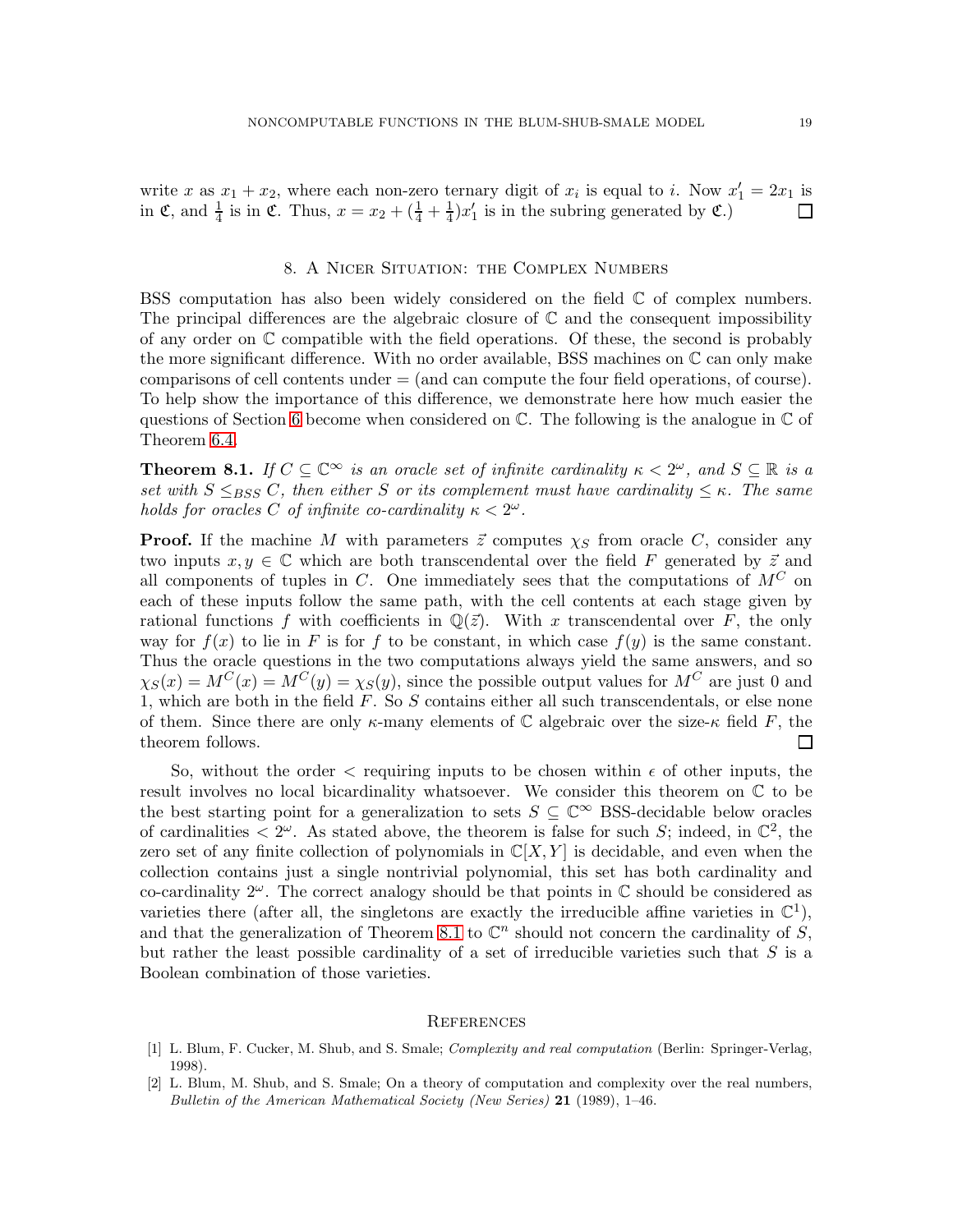write x as  $x_1 + x_2$ , where each non-zero ternary digit of  $x_i$  is equal to i. Now  $x'_1 = 2x_1$  is in  $\mathfrak{C}$ , and  $\frac{1}{4}$  is in  $\mathfrak{C}$ . Thus,  $x = x_2 + (\frac{1}{4} + \frac{1}{4})$  $\frac{1}{4}$ ) $x'_1$  is in the subring generated by  $\mathfrak{C}$ .)

#### 8. A Nicer Situation: the Complex Numbers

<span id="page-18-2"></span>BSS computation has also been widely considered on the field  $\mathbb C$  of complex numbers. The principal differences are the algebraic closure of  $\mathbb C$  and the consequent impossibility of any order on C compatible with the field operations. Of these, the second is probably the more significant difference. With no order available, BSS machines on C can only make comparisons of cell contents under = (and can compute the four field operations, of course). To help show the importance of this difference, we demonstrate here how much easier the questions of Section [6](#page-13-0) become when considered on  $\mathbb{C}$ . The following is the analogue in  $\mathbb{C}$  of Theorem [6.4.](#page-15-0)

<span id="page-18-3"></span>**Theorem 8.1.** If  $C \subseteq \mathbb{C}^{\infty}$  is an oracle set of infinite cardinality  $\kappa < 2^{\omega}$ , and  $S \subseteq \mathbb{R}$  is a set with  $S \leq_{BSS} C$ , then either S or its complement must have cardinality  $\leq \kappa$ . The same holds for oracles C of infinite co-cardinality  $\kappa < 2^{\omega}$ .

**Proof.** If the machine M with parameters  $\vec{z}$  computes  $\chi_S$  from oracle C, consider any two inputs  $x, y \in \mathbb{C}$  which are both transcendental over the field F generated by  $\vec{z}$  and all components of tuples in C. One immediately sees that the computations of  $M^C$  on each of these inputs follow the same path, with the cell contents at each stage given by rational functions f with coefficients in  $\mathbb{Q}(\vec{z})$ . With x transcendental over F, the only way for  $f(x)$  to lie in F is for f to be constant, in which case  $f(y)$  is the same constant. Thus the oracle questions in the two computations always yield the same answers, and so  $\chi_S(x) = M^C(x) = M^C(y) = \chi_S(y)$ , since the possible output values for  $M^C$  are just 0 and 1, which are both in the field  $F$ . So  $S$  contains either all such transcendentals, or else none of them. Since there are only  $\kappa$ -many elements of C algebraic over the size- $\kappa$  field F, the theorem follows.  $\mathsf{L}$ 

So, without the order  $\langle$  requiring inputs to be chosen within  $\epsilon$  of other inputs, the result involves no local bicardinality whatsoever. We consider this theorem on C to be the best starting point for a generalization to sets  $S \subseteq \mathbb{C}^{\infty}$  BSS-decidable below oracles of cardinalities  $\langle 2^{\omega} \rangle$ . As stated above, the theorem is false for such S; indeed, in  $\mathbb{C}^2$ , the zero set of any finite collection of polynomials in  $\mathbb{C}[X, Y]$  is decidable, and even when the collection contains just a single nontrivial polynomial, this set has both cardinality and co-cardinality  $2^{\omega}$ . The correct analogy should be that points in  $\mathbb C$  should be considered as varieties there (after all, the singletons are exactly the irreducible affine varieties in  $\mathbb{C}^1$ ), and that the generalization of Theorem [8.1](#page-18-3) to  $\mathbb{C}^n$  should not concern the cardinality of S, but rather the least possible cardinality of a set of irreducible varieties such that  $S$  is a Boolean combination of those varieties.

#### **REFERENCES**

- <span id="page-18-1"></span>[1] L. Blum, F. Cucker, M. Shub, and S. Smale; *Complexity and real computation* (Berlin: Springer-Verlag, 1998).
- <span id="page-18-0"></span>[2] L. Blum, M. Shub, and S. Smale; On a theory of computation and complexity over the real numbers, *Bulletin of the American Mathematical Society (New Series)* 21 (1989), 1–46.